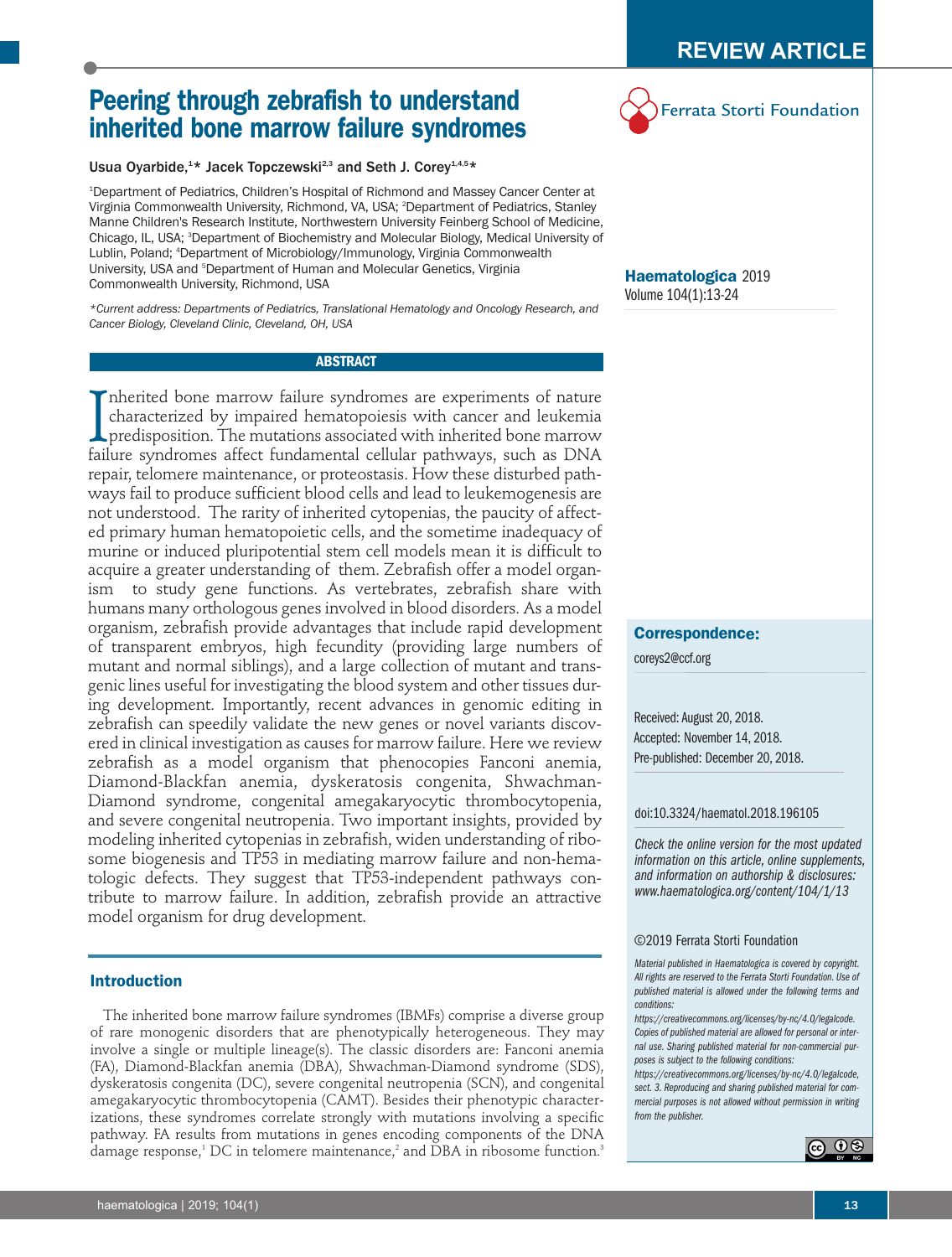# **Peering through zebrafish to understand inherited bone marrow failure syndromes**

Usua Oyarbide,<sup>1\*</sup> Jacek Topczewski<sup>2,3</sup> and Seth J. Corey<sup>1,4,5</sup>\*

1 Department of Pediatrics, Children's Hospital of Richmond and Massey Cancer Center at Virginia Commonwealth University, Richmond, VA, USA; 2 Department of Pediatrics, Stanley Manne Children's Research Institute, Northwestern University Feinberg School of Medicine, Chicago, IL, USA; <sup>3</sup>Department of Biochemistry and Molecular Biology, Medical University of Lublin, Poland; 4 Department of Microbiology/Immunology, Virginia Commonwealth University, USA and <sup>s</sup>Department of Human and Molecular Genetics, Virginia Commonwealth University, Richmond, USA

*\*Current address: Departments of Pediatrics, Translational Hematology and Oncology Research, and Cancer Biology, Cleveland Clinic, Cleveland, OH, USA*

# **ABSTRACT**

Inherited bone marrow failure syndromes are experiments of nature characterized by impaired hematopoiesis with cancer and leukemia predisposition. The mutations associated with inherited bone marrow failure syndromes affec nherited bone marrow failure syndromes are experiments of nature characterized by impaired hematopoiesis with cancer and leukemia predisposition. The mutations associated with inherited bone marrow repair, telomere maintenance, or proteostasis. How these disturbed pathways fail to produce sufficient blood cells and lead to leukemogenesis are not understood. The rarity of inherited cytopenias, the paucity of affected primary human hematopoietic cells, and the sometime inadequacy of murine or induced pluripotential stem cell models mean it is difficult to acquire a greater understanding of them. Zebrafish offer a model organism to study gene functions. As vertebrates, zebrafish share with humans many orthologous genes involved in blood disorders. As a model organism, zebrafish provide advantages that include rapid development of transparent embryos, high fecundity (providing large numbers of mutant and normal siblings), and a large collection of mutant and transgenic lines useful for investigating the blood system and other tissues during development. Importantly, recent advances in genomic editing in zebrafish can speedily validate the new genes or novel variants discovered in clinical investigation as causes for marrow failure. Here we review zebrafish as a model organism that phenocopies Fanconi anemia, Diamond-Blackfan anemia, dyskeratosis congenita, Shwachman-Diamond syndrome, congenital amegakaryocytic thrombocytopenia, and severe congenital neutropenia. Two important insights, provided by modeling inherited cytopenias in zebrafish, widen understanding of ribosome biogenesis and TP53 in mediating marrow failure and non-hematologic defects. They suggest that TP53-independent pathways contribute to marrow failure. In addition, zebrafish provide an attractive model organism for drug development.

# **Introduction**

The inherited bone marrow failure syndromes (IBMFs) comprise a diverse group of rare monogenic disorders that are phenotypically heterogeneous. They may involve a single or multiple lineage(s). The classic disorders are: Fanconi anemia (FA), Diamond-Blackfan anemia (DBA), Shwachman-Diamond syndrome (SDS), dyskeratosis congenita (DC), severe congenital neutropenia (SCN), and congenital amegakaryocytic thrombocytopenia (CAMT). Besides their phenotypic characterizations, these syndromes correlate strongly with mutations involving a specific pathway. FA results from mutations in genes encoding components of the DNA damage response,<sup>1</sup> DC in telomere maintenance,<sup>2</sup> and DBA in ribosome function.<sup>3</sup> Ferrata Storti Foundation

**Haematologica** 2019 Volume 104(1):13-24

# **Correspondence:**

coreys2@ccf.org

Received: August 20, 2018. Accepted: November 14, 2018. Pre-published: December 20, 2018.

#### doi:10.3324/haematol.2018.196105

*Check the online version for the most updated information on this article, online supplements, and information on authorship & disclosures: www.haematologica.org/content/104/1/13*

#### ©2019 Ferrata Storti Foundation

*Material published in Haematologica is covered by copyright. All rights are reserved to the Ferrata Storti Foundation. Use of published material is allowed under the following terms and conditions:* 

*https://creativecommons.org/licenses/by-nc/4.0/legalcode. Copies of published material are allowed for personal or internal use. Sharing published material for non-commercial purposes is subject to the following conditions:* 

*https://creativecommons.org/licenses/by-nc/4.0/legalcode, sect. 3. Reproducing and sharing published material for commercial purposes is not allowed without permission in writing from the publisher.*

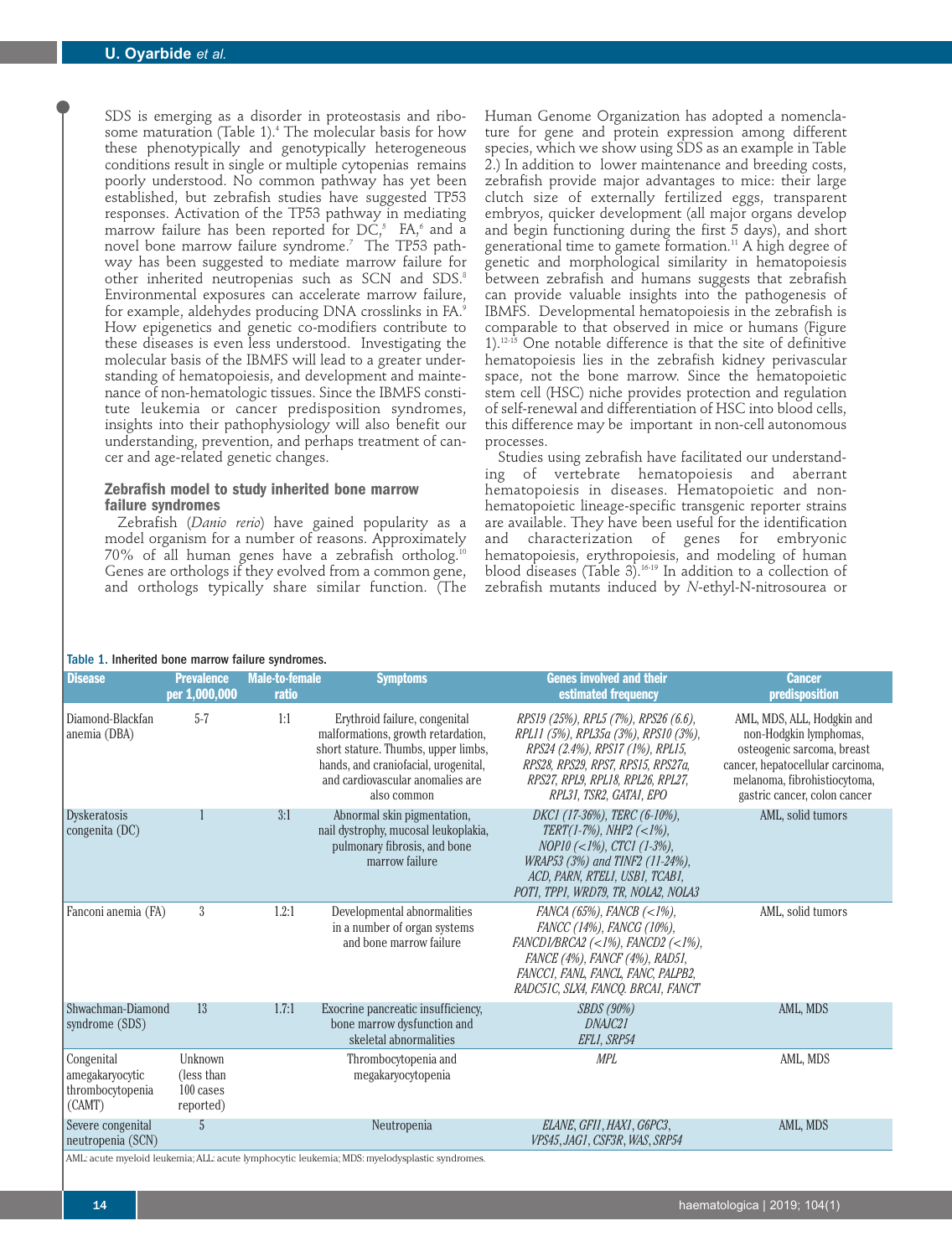SDS is emerging as a disorder in proteostasis and ribosome maturation (Table 1).<sup>4</sup> The molecular basis for how these phenotypically and genotypically heterogeneous conditions result in single or multiple cytopenias remains poorly understood. No common pathway has yet been established, but zebrafish studies have suggested TP53 responses. Activation of the TP53 pathway in mediating marrow failure has been reported for  $DC$ <sup>5</sup>, FA, $\degree$  and a novel bone marrow failure syndrome.<sup>7</sup> The TP53 pathway has been suggested to mediate marrow failure for other inherited neutropenias such as SCN and SDS.<sup>8</sup> Environmental exposures can accelerate marrow failure, for example, aldehydes producing DNA crosslinks in FA.9 How epigenetics and genetic co-modifiers contribute to these diseases is even less understood. Investigating the molecular basis of the IBMFS will lead to a greater understanding of hematopoiesis, and development and maintenance of non-hematologic tissues. Since the IBMFS constitute leukemia or cancer predisposition syndromes, insights into their pathophysiology will also benefit our understanding, prevention, and perhaps treatment of cancer and age-related genetic changes.

# **Zebrafish model to study inherited bone marrow failure syndromes**

Zebrafish (*Danio rerio*) have gained popularity as a model organism for a number of reasons. Approximately 70% of all human genes have a zebrafish ortholog.<sup>10</sup> Genes are orthologs if they evolved from a common gene, and orthologs typically share similar function. (The Human Genome Organization has adopted a nomenclature for gene and protein expression among different species, which we show using SDS as an example in Table 2.) In addition to lower maintenance and breeding costs, zebrafish provide major advantages to mice: their large clutch size of externally fertilized eggs, transparent embryos, quicker development (all major organs develop and begin functioning during the first 5 days), and short generational time to gamete formation.<sup>11</sup> A high degree of genetic and morphological similarity in hematopoiesis between zebrafish and humans suggests that zebrafish can provide valuable insights into the pathogenesis of IBMFS. Developmental hematopoiesis in the zebrafish is comparable to that observed in mice or humans (Figure  $1$ ).<sup>12-15</sup> One notable difference is that the site of definitive hematopoiesis lies in the zebrafish kidney perivascular space, not the bone marrow. Since the hematopoietic stem cell (HSC) niche provides protection and regulation of self-renewal and differentiation of HSC into blood cells, this difference may be important in non-cell autonomous processes.

Studies using zebrafish have facilitated our understanding of vertebrate hematopoiesis and aberrant hematopoiesis in diseases. Hematopoietic and nonhematopoietic lineage-specific transgenic reporter strains are available. They have been useful for the identification and characterization of genes for embryonic hematopoiesis, erythropoiesis, and modeling of human blood diseases (Table 3).16-19 In addition to a collection of zebrafish mutants induced by *N*-ethyl-N-nitrosourea or

#### Table 1. Inherited bone marrow failure syndromes.

| <b>Disease</b>                                              | <b>Prevalence</b><br>per 1,000,000               | <b>Male-to-female</b><br>ratio | <b>Symptoms</b>                                                                                                                                                                                       | <b>Genes involved and their</b><br>estimated frequency                                                                                                                                                                           | <b>Cancer</b><br>predisposition                                                                                                                                                         |
|-------------------------------------------------------------|--------------------------------------------------|--------------------------------|-------------------------------------------------------------------------------------------------------------------------------------------------------------------------------------------------------|----------------------------------------------------------------------------------------------------------------------------------------------------------------------------------------------------------------------------------|-----------------------------------------------------------------------------------------------------------------------------------------------------------------------------------------|
| Diamond-Blackfan<br>anemia (DBA)                            | $5 - 7$                                          | 1:1                            | Erythroid failure, congenital<br>malformations, growth retardation,<br>short stature. Thumbs, upper limbs,<br>hands, and craniofacial, urogenital,<br>and cardiovascular anomalies are<br>also common | RPS19 (25%), RPL5 (7%), RPS26 (6.6),<br>RPL11 (5%), RPL35a (3%), RPS10 (3%),<br>RPS24 (2.4%), RPS17 (1%), RPL15,<br>RPS28, RPS29, RPS7, RPS15, RPS27a,<br>RPS27, RPL9, RPL18, RPL26, RPL27,<br>RPL31, TSR2, GATA1, EPO           | AML, MDS, ALL, Hodgkin and<br>non-Hodgkin lymphomas,<br>osteogenic sarcoma, breast<br>cancer, hepatocellular carcinoma,<br>melanoma, fibrohistiocytoma,<br>gastric cancer, colon cancer |
| Dyskeratosis<br>congenita (DC)                              |                                                  | 3:1                            | Abnormal skin pigmentation,<br>nail dystrophy, mucosal leukoplakia,<br>pulmonary fibrosis, and bone<br>marrow failure                                                                                 | DKC1 (17-36%), TERC (6-10%),<br>TERT(1-7%), NHP2 (<1%),<br>$NOP10 \; (<1%)$ , CTC1 (1-3%),<br>WRAP53 (3%) and TINF2 (11-24%).<br>ACD, PARN, RTEL1, USB1, TCAB1,<br>POT1, TPP1, WRD79, TR, NOLA2, NOLA3                           | AML, solid tumors                                                                                                                                                                       |
| Fanconi anemia (FA)                                         | 3                                                | 1.2:1                          | Developmental abnormalities<br>in a number of organ systems<br>and bone marrow failure                                                                                                                | FANCA (65%), FANCB $(<1$ %),<br>FANCC (14%), FANCG (10%),<br>FANCD1/BRCA2 $(\langle 1\%),$ FANCD2 $(\langle 1\%),$<br>FANCE (4%), FANCF (4%), RAD51,<br>FANCC1, FANL, FANCL, FANC, PALPB2,<br>RADC51C, SLX4, FANCQ. BRCA1, FANCT | AML, solid tumors                                                                                                                                                                       |
| Shwachman-Diamond                                           | 13                                               | 1.7:1                          | Exocrine pancreatic insufficiency,                                                                                                                                                                    | <i>SBDS</i> (90%)                                                                                                                                                                                                                | AML, MDS                                                                                                                                                                                |
| syndrome (SDS)                                              |                                                  |                                | bone marrow dysfunction and<br>skeletal abnormalities                                                                                                                                                 | DNAIC21<br>EFL1, SRP54                                                                                                                                                                                                           |                                                                                                                                                                                         |
| Congenital<br>amegakaryocytic<br>thrombocytopenia<br>(CAMT) | Unknown<br>(less than)<br>100 cases<br>reported) |                                | Thrombocytopenia and<br>megakaryocytopenia                                                                                                                                                            | <b>MPL</b>                                                                                                                                                                                                                       | AML, MDS                                                                                                                                                                                |
| Severe congenital<br>neutropenia (SCN)                      | 5                                                |                                | Neutropenia                                                                                                                                                                                           | ELANE, GFI1, HAX1, G6PC3,<br>VPS45, JAG1, CSF3R, WAS, SRP54                                                                                                                                                                      | AML, MDS                                                                                                                                                                                |
|                                                             |                                                  | $$ $$ $$ $$ $$ $$ $MDC$        | والمعامل ومعتملات والمتحدة                                                                                                                                                                            |                                                                                                                                                                                                                                  |                                                                                                                                                                                         |

AML: acute myeloid leukemia; ALL: acute lymphocytic leukemia; MDS: myelodysplastic syndromes.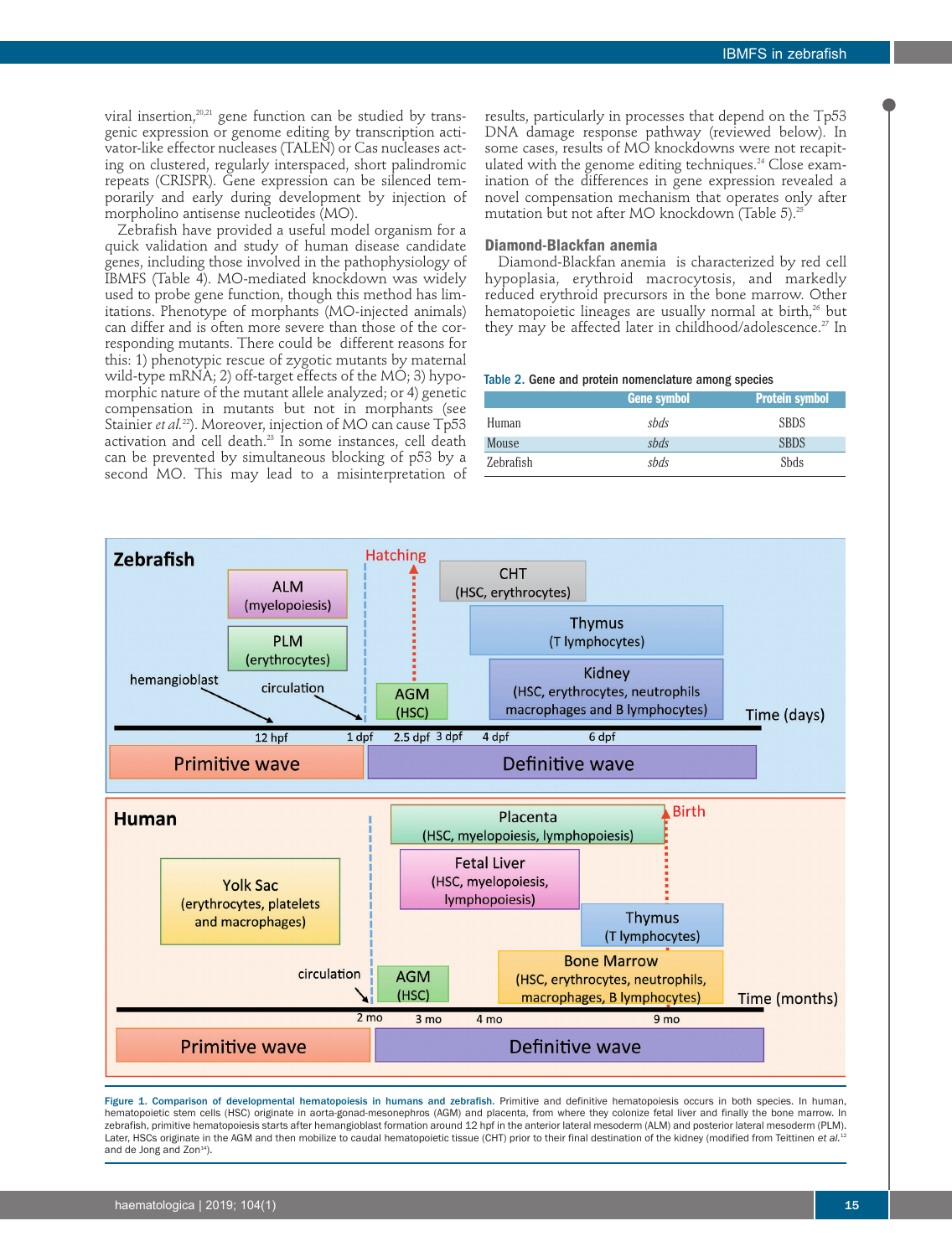viral insertion,<sup>20,21</sup> gene function can be studied by transgenic expression or genome editing by transcription activator-like effector nucleases (TALEN) or Cas nucleases acting on clustered, regularly interspaced, short palindromic repeats (CRISPR). Gene expression can be silenced temporarily and early during development by injection of morpholino antisense nucleotides (MO).

Zebrafish have provided a useful model organism for a quick validation and study of human disease candidate genes, including those involved in the pathophysiology of IBMFS (Table 4). MO-mediated knockdown was widely used to probe gene function, though this method has limitations. Phenotype of morphants (MO-injected animals) can differ and is often more severe than those of the corresponding mutants. There could be different reasons for this: 1) phenotypic rescue of zygotic mutants by maternal wild-type mRNA; 2) off-target effects of the MO; 3) hypomorphic nature of the mutant allele analyzed; or 4) genetic compensation in mutants but not in morphants (see Stainier *et al.*<sup>22</sup>). Moreover, injection of MO can cause Tp53 activation and cell death.<sup>23</sup> In some instances, cell death can be prevented by simultaneous blocking of p53 by a second MO. This may lead to a misinterpretation of

results, particularly in processes that depend on the Tp53 DNA damage response pathway (reviewed below). In some cases, results of MO knockdowns were not recapitulated with the genome editing techniques.<sup>24</sup> Close examination of the differences in gene expression revealed a novel compensation mechanism that operates only after mutation but not after MO knockdown (Table 5).<sup>25</sup>

# **Diamond-Blackfan anemia**

Diamond-Blackfan anemia is characterized by red cell hypoplasia, erythroid macrocytosis, and markedly reduced erythroid precursors in the bone marrow. Other hematopoietic lineages are usually normal at birth,<sup>26</sup> but they may be affected later in childhood/adolescence.<sup>27</sup> In

#### Table 2. Gene and protein nomenclature among species

|           | <b>Gene symbol</b> | Protein symbol, |
|-----------|--------------------|-----------------|
| Human     | sbds               | <b>SBDS</b>     |
| Mouse     | sbds               | <b>SBDS</b>     |
| Zebrafish | sbds               | <b>S</b> bds    |



Figure 1. Comparison of developmental hematopoiesis in humans and zebrafish. Primitive and definitive hematopoiesis occurs in both species. In human, hematopoietic stem cells (HSC) originate in aorta-gonad-mesonephros (AGM) and placenta, from where they colonize fetal liver and finally the bone marrow. In zebrafish, primitive hematopoiesis starts after hemangioblast formation around 12 hpf in the anterior lateral mesoderm (ALM) and posterior lateral mesoderm (PLM). Later, HSCs originate in the AGM and then mobilize to caudal hematopoietic tissue (CHT) prior to their final destination of the kidney (modified from Teittinen et al.<sup>12</sup> and de Jong and Zon<sup>14</sup>).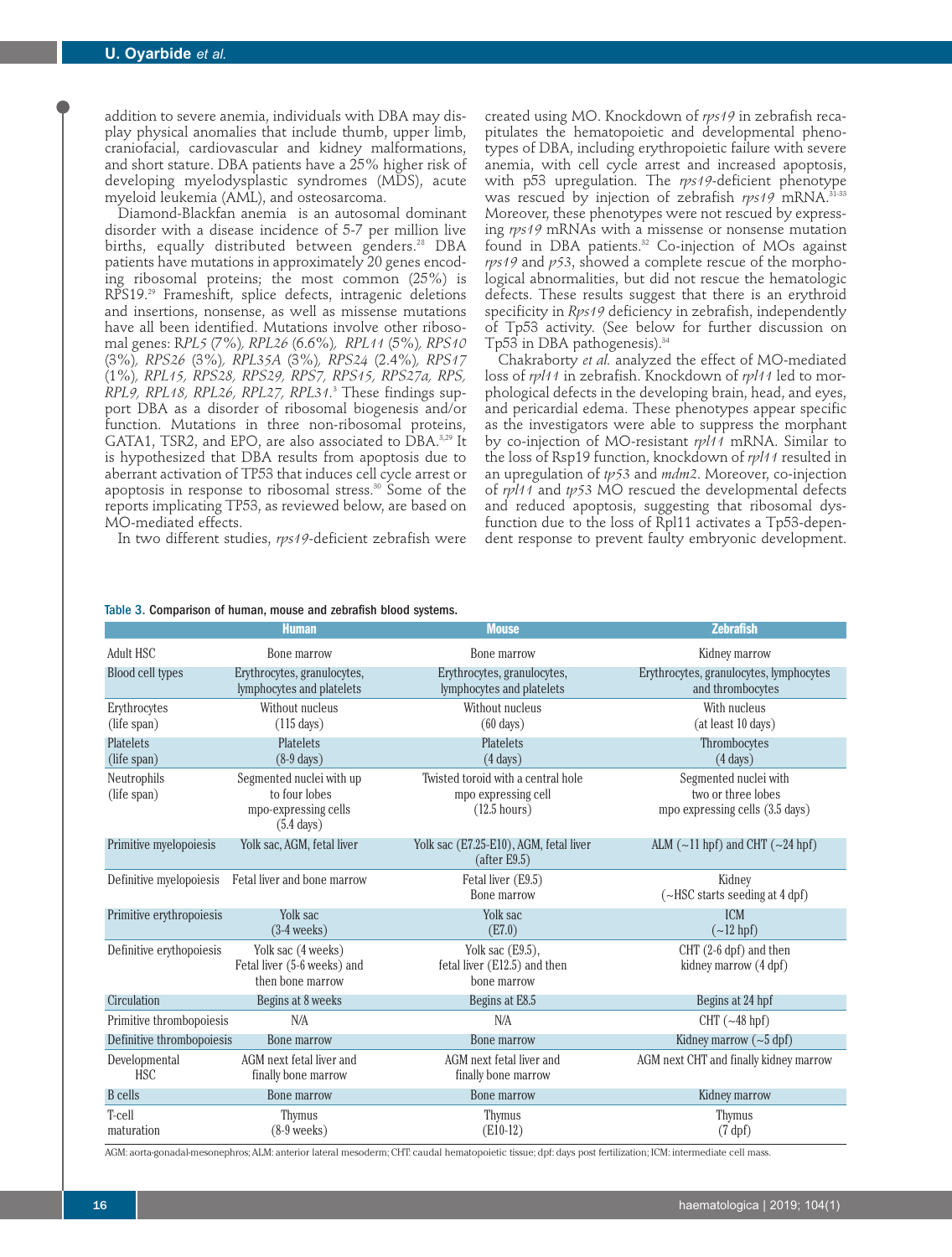addition to severe anemia, individuals with DBA may display physical anomalies that include thumb, upper limb, craniofacial, cardiovascular and kidney malformations, and short stature. DBA patients have a 25% higher risk of developing myelodysplastic syndromes (MDS), acute myeloid leukemia (AML), and osteosarcoma.

Diamond-Blackfan anemia is an autosomal dominant disorder with a disease incidence of 5-7 per million live births, equally distributed between genders.<sup>28</sup> DBA patients have mutations in approximately 20 genes encoding ribosomal proteins; the most common (25%) is RPS19.29 Frameshift, splice defects, intragenic deletions and insertions, nonsense, as well as missense mutations have all been identified. Mutations involve other ribosomal genes: R*PL5* (7%)*, RPL26* (6.6%)*, RPL11* (5%)*, RPS10* (3%)*, RPS26* (3%)*, RPL35A* (3%)*, RPS24* (2.4%)*, RPS17* (1%)*, RPL15, RPS28, RPS29, RPS7, RPS15, RPS27a, RPS, RPL9, RPL18, RPL26, RPL27, RPL31.*<sup>3</sup> These findings support DBA as a disorder of ribosomal biogenesis and/or function. Mutations in three non-ribosomal proteins, GATA1, TSR2, and EPO, are also associated to DBA.<sup>3,29</sup> It is hypothesized that DBA results from apoptosis due to aberrant activation of TP53 that induces cell cycle arrest or apoptosis in response to ribosomal stress.30 Some of the reports implicating TP53, as reviewed below, are based on MO-mediated effects.

In two different studies, *rps19*-deficient zebrafish were

created using MO. Knockdown of *rps19* in zebrafish recapitulates the hematopoietic and developmental phenotypes of DBA, including erythropoietic failure with severe anemia, with cell cycle arrest and increased apoptosis, with p53 upregulation. The *rps19*-deficient phenotype was rescued by injection of zebrafish *rps19* mRNA.31-33 Moreover, these phenotypes were not rescued by expressing *rps19* mRNAs with a missense or nonsense mutation found in DBA patients.<sup>32</sup> Co-injection of MOs against *rps19* and *p53*, showed a complete rescue of the morphological abnormalities, but did not rescue the hematologic defects. These results suggest that there is an erythroid specificity in *Rps19* deficiency in zebrafish, independently of Tp53 activity. (See below for further discussion on Tp53 in DBA pathogenesis). $34$ 

Chakraborty *et al.* analyzed the effect of MO-mediated loss of *rpl11* in zebrafish. Knockdown of *rpl11* led to morphological defects in the developing brain, head, and eyes, and pericardial edema. These phenotypes appear specific as the investigators were able to suppress the morphant by co-injection of MO-resistant *rpl11* mRNA. Similar to the loss of Rsp19 function, knockdown of *rpl11* resulted in an upregulation of *tp53* and *mdm2*. Moreover, co-injection of *rpl11* and *tp53* MO rescued the developmental defects and reduced apoptosis, suggesting that ribosomal dysfunction due to the loss of Rpl11 activates a Tp53-dependent response to prevent faulty embryonic development.

|                                 | <b>Human</b>                                                                              | <b>Mouse</b>                                                                        | <b>Zebrafish</b>                                                               |
|---------------------------------|-------------------------------------------------------------------------------------------|-------------------------------------------------------------------------------------|--------------------------------------------------------------------------------|
| Adult HSC                       | Bone marrow                                                                               | Bone marrow                                                                         | Kidney marrow                                                                  |
| Blood cell types                | Erythrocytes, granulocytes,<br>lymphocytes and platelets                                  | Erythrocytes, granulocytes,<br>lymphocytes and platelets                            | Erythrocytes, granulocytes, lymphocytes<br>and thrombocytes                    |
| Erythrocytes<br>(life span)     | Without nucleus<br>$(115 \text{ days})$                                                   | Without nucleus<br>$(60 \text{ days})$                                              | With nucleus<br>(at least 10 days)                                             |
| <b>Platelets</b><br>(life span) | <b>Platelets</b><br>$(8-9 \text{ days})$                                                  | <b>Platelets</b><br>$(4 \text{ days})$                                              | Thrombocytes<br>$(4 \text{ days})$                                             |
| Neutrophils<br>(life span)      | Segmented nuclei with up<br>to four lobes<br>mpo-expressing cells<br>$(5.4 \text{ days})$ | Twisted toroid with a central hole<br>mpo expressing cell<br>$(12.5 \text{ hours})$ | Segmented nuclei with<br>two or three lobes<br>mpo expressing cells (3.5 days) |
| Primitive myelopoiesis          | Yolk sac, AGM, fetal liver                                                                | Yolk sac (E7.25-E10), AGM, fetal liver<br>(after E9.5)                              | ALM $(-11$ hpf) and CHT $(-24$ hpf)                                            |
| Definitive myelopoiesis         | Fetal liver and bone marrow                                                               | Fetal liver (E9.5)<br>Bone marrow                                                   | Kidney<br>$(\sim$ HSC starts seeding at 4 dpf)                                 |
| Primitive erythropoiesis        | Yolk sac<br>$(3-4 \text{ weeks})$                                                         | Yolk sac<br>(E7.0)                                                                  | <b>ICM</b><br>$\left(\sim 12$ hpf)                                             |
| Definitive erythopoiesis        | Yolk sac (4 weeks)<br>Fetal liver (5-6 weeks) and<br>then bone marrow                     | Yolk sac $(E9.5)$ ,<br>fetal liver (E12.5) and then<br>bone marrow                  | CHT (2-6 dpf) and then<br>kidney marrow (4 dpf)                                |
| Circulation                     | Begins at 8 weeks                                                                         | Begins at E8.5                                                                      | Begins at 24 hpf                                                               |
| Primitive thrombopoiesis        | N/A                                                                                       | N/A                                                                                 | CHT $(-48$ hpf)                                                                |
| Definitive thrombopoiesis       | <b>Bone marrow</b>                                                                        | Bone marrow                                                                         | Kidney marrow $({\sim}5 \text{ dpf})$                                          |
| Developmental<br><b>HSC</b>     | AGM next fetal liver and<br>finally bone marrow                                           | AGM next fetal liver and<br>finally bone marrow                                     | AGM next CHT and finally kidney marrow                                         |
| <b>B</b> cells                  | Bone marrow                                                                               | Bone marrow                                                                         | Kidney marrow                                                                  |
| T-cell<br>maturation            | Thymus<br>$(8-9$ weeks)                                                                   | Thymus<br>$(E10-12)$                                                                | Thymus<br>(7 dpf)                                                              |

Table 3. Comparison of human, mouse and zebrafish blood systems.

AGM: aorta-gonadal-mesonephros; ALM: anterior lateral mesoderm; CHT: caudal hematopoietic tissue; dpf: days post fertilization; ICM: intermediate cell mass.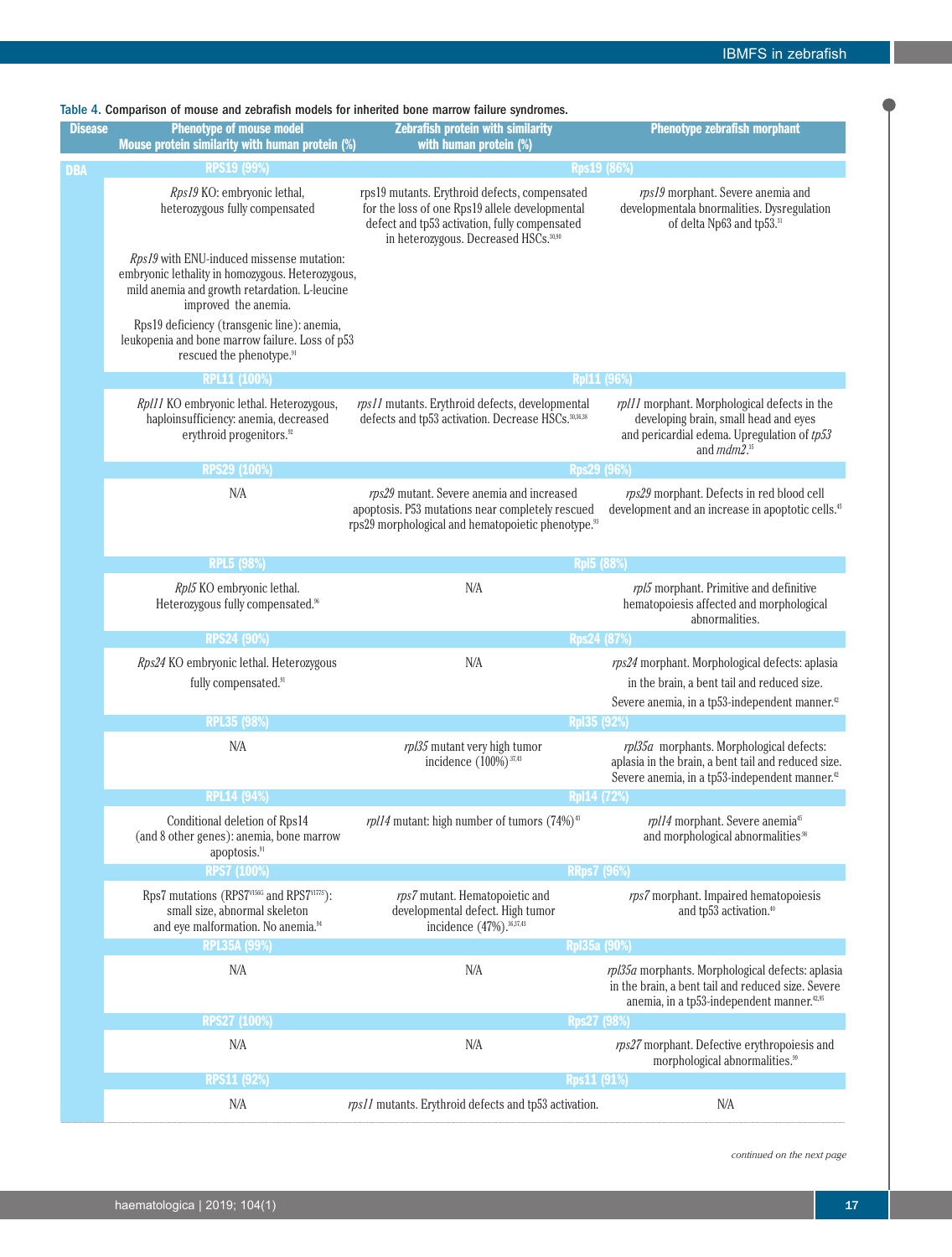|  |  |  | Table 4. Comparison of mouse and zebrafish models for inherited bone marrow failure svndromes. |
|--|--|--|------------------------------------------------------------------------------------------------|
|  |  |  |                                                                                                |

| <b>Disease</b> | <b>Phenotype of mouse model</b><br>Mouse protein similarity with human protein (%)                                                                                                                                                                                                                               | <b>Zebrafish protein with similarity</b><br>with human protein (%)                                                                                                                                    | <b>Phenotype zebrafish morphant</b>                                                                                                                              |  |
|----------------|------------------------------------------------------------------------------------------------------------------------------------------------------------------------------------------------------------------------------------------------------------------------------------------------------------------|-------------------------------------------------------------------------------------------------------------------------------------------------------------------------------------------------------|------------------------------------------------------------------------------------------------------------------------------------------------------------------|--|
| <b>DBA</b>     | <b>RPS19 (99%)</b>                                                                                                                                                                                                                                                                                               | <b>Rps19 (86%)</b>                                                                                                                                                                                    |                                                                                                                                                                  |  |
|                | Rps19 KO: embryonic lethal,<br>heterozygous fully compensated                                                                                                                                                                                                                                                    | rps19 mutants. Erythroid defects, compensated<br>for the loss of one Rps19 allele developmental<br>defect and tp53 activation, fully compensated<br>in heterozygous. Decreased HSCs. <sup>30,90</sup> | rps19 morphant. Severe anemia and<br>developmentala bnormalities. Dysregulation<br>of delta Np63 and tp53.31                                                     |  |
|                | Rps19 with ENU-induced missense mutation:<br>embryonic lethality in homozygous. Heterozygous,<br>mild anemia and growth retardation. L-leucine<br>improved the anemia.<br>Rps19 deficiency (transgenic line): anemia,<br>leukopenia and bone marrow failure. Loss of p53<br>rescued the phenotype. <sup>91</sup> |                                                                                                                                                                                                       |                                                                                                                                                                  |  |
|                | RPL11 (100%)                                                                                                                                                                                                                                                                                                     | <b>Rp111 (96%)</b>                                                                                                                                                                                    |                                                                                                                                                                  |  |
|                | Rpl11 KO embryonic lethal. Heterozygous,<br>haploinsufficiency: anemia, decreased<br>erythroid progenitors. <sup>92</sup>                                                                                                                                                                                        | rps11 mutants. Erythroid defects, developmental<br>defects and tp53 activation. Decrease HSCs. 30,36,38                                                                                               | rpl11 morphant. Morphological defects in the<br>developing brain, small head and eyes<br>and pericardial edema. Upregulation of $tp53$<br>and $mdm2.^{35}$       |  |
|                | RPS29 (100%)                                                                                                                                                                                                                                                                                                     | <b>Rps29 (96%)</b>                                                                                                                                                                                    |                                                                                                                                                                  |  |
|                | N/A                                                                                                                                                                                                                                                                                                              | rps29 mutant. Severe anemia and increased<br>apoptosis. P53 mutations near completely rescued<br>rps29 morphological and hematopoietic phenotype. <sup>93</sup>                                       | rps29 morphant. Defects in red blood cell<br>development and an increase in apoptotic cells. <sup>45</sup>                                                       |  |
|                | <b>RPL5 (98%)</b>                                                                                                                                                                                                                                                                                                | <b>RpI5 (88%)</b>                                                                                                                                                                                     |                                                                                                                                                                  |  |
|                | Rpl5 KO embryonic lethal.<br>Heterozygous fully compensated. <sup>96</sup>                                                                                                                                                                                                                                       | N/A                                                                                                                                                                                                   | rpl5 morphant. Primitive and definitive<br>hematopoiesis affected and morphological<br>abnormalities.                                                            |  |
|                | <b>RPS24 (90%)</b>                                                                                                                                                                                                                                                                                               | <b>Rps24 (87%)</b>                                                                                                                                                                                    |                                                                                                                                                                  |  |
|                | Rps24 KO embryonic lethal. Heterozygous<br>fully compensated. <sup>91</sup>                                                                                                                                                                                                                                      | N/A                                                                                                                                                                                                   | rps24 morphant. Morphological defects: aplasia<br>in the brain, a bent tail and reduced size.                                                                    |  |
|                |                                                                                                                                                                                                                                                                                                                  |                                                                                                                                                                                                       | Severe anemia, in a tp53-independent manner. <sup>42</sup>                                                                                                       |  |
|                | <b>RPL35 (98%)</b>                                                                                                                                                                                                                                                                                               | Rp135 (92%)                                                                                                                                                                                           |                                                                                                                                                                  |  |
|                | N/A                                                                                                                                                                                                                                                                                                              | rpl35 mutant very high tumor<br>incidence (100%) <sup>37,43</sup>                                                                                                                                     | rpl35a morphants. Morphological defects:<br>aplasia in the brain, a bent tail and reduced size.<br>Severe anemia, in a tp53-independent manner. <sup>22</sup>    |  |
|                | <b>RPL14 (94%)</b>                                                                                                                                                                                                                                                                                               | <b>Rp114 (72%)</b>                                                                                                                                                                                    |                                                                                                                                                                  |  |
|                | Conditional deletion of Rps14<br>(and 8 other genes): anemia, bone marrow<br>apoptosis. <sup>91</sup>                                                                                                                                                                                                            | rpl14 mutant: high number of tumors $(74%)$ <sup>43</sup>                                                                                                                                             | rpl14 morphant. Severe anemia <sup>45</sup><br>and morphological abnormalities. <sup>98</sup>                                                                    |  |
|                | <b>RPS7 (100%)</b>                                                                                                                                                                                                                                                                                               | <b>RRps7 (96%)</b>                                                                                                                                                                                    |                                                                                                                                                                  |  |
|                | Rps7 mutations (RPS7V156G and RPS7V177S):<br>small size, abnormal skeleton<br>and eye malformation. No anemia. <sup>94</sup>                                                                                                                                                                                     | rps7 mutant. Hematopoietic and<br>developmental defect. High tumor<br>incidence (47%). 36,37,43                                                                                                       | rps7 morphant. Impaired hematopoiesis<br>and tp53 activation. <sup>40</sup>                                                                                      |  |
|                | <b>RPL35A (99%)</b>                                                                                                                                                                                                                                                                                              | RpI35a (90%)                                                                                                                                                                                          |                                                                                                                                                                  |  |
|                | N/A                                                                                                                                                                                                                                                                                                              | N/A                                                                                                                                                                                                   | rpl35a morphants. Morphological defects: aplasia<br>in the brain, a bent tail and reduced size. Severe<br>anemia, in a tp53-independent manner. <sup>42,95</sup> |  |
|                | <b>RPS27 (100%)</b>                                                                                                                                                                                                                                                                                              | Rps27 (98%)                                                                                                                                                                                           |                                                                                                                                                                  |  |
|                | N/A                                                                                                                                                                                                                                                                                                              | N/A                                                                                                                                                                                                   | rps27 morphant. Defective erythropoiesis and<br>morphological abnormalities. <sup>99</sup>                                                                       |  |
|                |                                                                                                                                                                                                                                                                                                                  |                                                                                                                                                                                                       |                                                                                                                                                                  |  |
|                | <b>RPS11 (92%)</b>                                                                                                                                                                                                                                                                                               | <b>Rps11 (91%)</b><br>rps11 mutants. Erythroid defects and tp53 activation.                                                                                                                           |                                                                                                                                                                  |  |

*continued on the next page*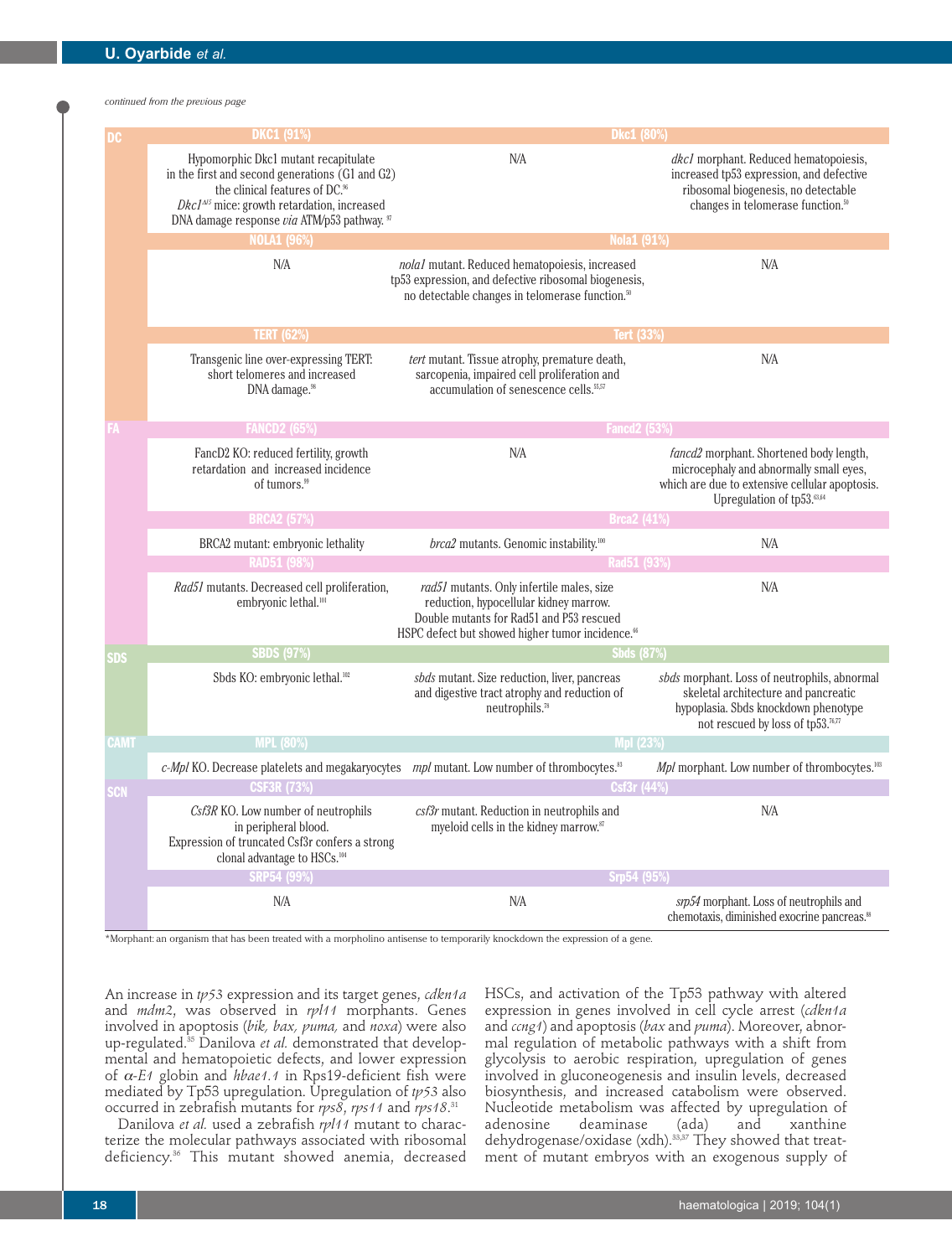*continued from the previous page*

|             | <b>DKC1 (91%)</b>                                                                                                                                                                                                                     | Dkc1 (80%)                                                                                                                                                                                      |                                                                                                                                                                           |  |  |
|-------------|---------------------------------------------------------------------------------------------------------------------------------------------------------------------------------------------------------------------------------------|-------------------------------------------------------------------------------------------------------------------------------------------------------------------------------------------------|---------------------------------------------------------------------------------------------------------------------------------------------------------------------------|--|--|
|             | Hypomorphic Dkc1 mutant recapitulate<br>in the first and second generations (G1 and G2)<br>the clinical features of DC. <sup>96</sup><br>$DkcI4/5$ mice: growth retardation, increased<br>DNA damage response via ATM/p53 pathway. 97 | N/A                                                                                                                                                                                             | dkcl morphant. Reduced hematopoiesis,<br>increased tp53 expression, and defective<br>ribosomal biogenesis, no detectable<br>changes in telomerase function. <sup>50</sup> |  |  |
|             | <b>NOLA1 (96%)</b>                                                                                                                                                                                                                    | <b>Nola1 (91%)</b>                                                                                                                                                                              |                                                                                                                                                                           |  |  |
|             | N/A                                                                                                                                                                                                                                   | nola1 mutant. Reduced hematopoiesis, increased<br>tp53 expression, and defective ribosomal biogenesis,<br>no detectable changes in telomerase function. <sup>50</sup>                           | N/A                                                                                                                                                                       |  |  |
|             | <b>TERT (62%)</b>                                                                                                                                                                                                                     | <b>Tert (33%)</b>                                                                                                                                                                               |                                                                                                                                                                           |  |  |
|             | Transgenic line over-expressing TERT:<br>short telomeres and increased<br>DNA damage. <sup>98</sup>                                                                                                                                   | tert mutant. Tissue atrophy, premature death,<br>sarcopenia, impaired cell proliferation and<br>accumulation of senescence cells. <sup>55,57</sup>                                              | N/A                                                                                                                                                                       |  |  |
|             | <b>FANCD2 (65%)</b>                                                                                                                                                                                                                   | <b>Fancd2 (53%)</b>                                                                                                                                                                             |                                                                                                                                                                           |  |  |
|             | FancD2 KO: reduced fertility, growth<br>retardation and increased incidence<br>of tumors. <sup>99</sup>                                                                                                                               | N/A                                                                                                                                                                                             | fancd2 morphant. Shortened body length,<br>microcephaly and abnormally small eyes,<br>which are due to extensive cellular apoptosis.<br>Upregulation of tp53.63,64        |  |  |
|             | <b>BRCA2 (57%)</b>                                                                                                                                                                                                                    | <b>Brca2 (41%)</b>                                                                                                                                                                              |                                                                                                                                                                           |  |  |
|             | BRCA2 mutant: embryonic lethality<br><b>RAD51 (98%)</b>                                                                                                                                                                               | brca2 mutants. Genomic instability. <sup>100</sup><br>Rad51 (93%)                                                                                                                               | N/A                                                                                                                                                                       |  |  |
|             | Rad51 mutants. Decreased cell proliferation,<br>embryonic lethal. <sup>101</sup>                                                                                                                                                      | rad51 mutants. Only infertile males, size<br>reduction, hypocellular kidney marrow.<br>Double mutants for Rad51 and P53 rescued<br>HSPC defect but showed higher tumor incidence. <sup>66</sup> | N/A                                                                                                                                                                       |  |  |
| SDS         | <b>SBDS (97%)</b>                                                                                                                                                                                                                     | <b>Shds (87%)</b>                                                                                                                                                                               |                                                                                                                                                                           |  |  |
|             | Sbds KO: embryonic lethal. <sup>102</sup>                                                                                                                                                                                             | sbds mutant. Size reduction, liver, pancreas<br>and digestive tract atrophy and reduction of<br>neutrophils. <sup>78</sup>                                                                      | sbds morphant. Loss of neutrophils, abnormal<br>skeletal architecture and pancreatic<br>hypoplasia. Sbds knockdown phenotype<br>not rescued by loss of tp53.76,77         |  |  |
| <b>CAMT</b> | <b>MPL (80%)</b>                                                                                                                                                                                                                      | <b>Mpl (23%)</b>                                                                                                                                                                                |                                                                                                                                                                           |  |  |
|             | $c$ - <i>Mpl</i> KO. Decrease platelets and megakaryocytes $mpl$ mutant. Low number of thrombocytes. <sup>33</sup>                                                                                                                    |                                                                                                                                                                                                 | Mpl morphant. Low number of thrombocytes. <sup>103</sup>                                                                                                                  |  |  |
| SCN         | <b>CSF3R (73%)</b>                                                                                                                                                                                                                    | Csf3r (44%)                                                                                                                                                                                     |                                                                                                                                                                           |  |  |
|             | Csf3R KO. Low number of neutrophils<br>in peripheral blood.<br>Expression of truncated Csf3r confers a strong<br>clonal advantage to HSCs. <sup>104</sup>                                                                             | csf3r mutant. Reduction in neutrophils and<br>myeloid cells in the kidney marrow.87                                                                                                             | N/A                                                                                                                                                                       |  |  |
|             | <b>SRP54 (99%)</b>                                                                                                                                                                                                                    | Srp54 (95%)                                                                                                                                                                                     |                                                                                                                                                                           |  |  |
|             | N/A                                                                                                                                                                                                                                   | N/A                                                                                                                                                                                             | srp54 morphant. Loss of neutrophils and<br>chemotaxis, diminished exocrine pancreas. <sup>88</sup>                                                                        |  |  |

\*Morphant: an organism that has been treated with a morpholino antisense to temporarily knockdown the expression of a gene.

An increase in *tp53* expression and its target genes, *cdkn1a* and *mdm2*, was observed in *rpl11* morphants. Genes involved in apoptosis (*bik, bax, puma,* and *noxa*) were also up-regulated.35 Danilova *et al.* demonstrated that developmental and hematopoietic defects, and lower expression of α*-E1* globin and *hbae1.1* in Rps19-deficient fish were mediated by Tp53 upregulation. Upregulation of *tp53* also occurred in zebrafish mutants for *rps8*, *rps11* and *rps18*. 31

Danilova *et al.* used a zebrafish *rpl11* mutant to characterize the molecular pathways associated with ribosomal deficiency.<sup>36</sup> This mutant showed anemia, decreased

HSCs, and activation of the Tp53 pathway with altered expression in genes involved in cell cycle arrest (*cdkn1a* and *ccng1*) and apoptosis (*bax* and *puma*). Moreover, abnormal regulation of metabolic pathways with a shift from glycolysis to aerobic respiration, upregulation of genes involved in gluconeogenesis and insulin levels, decreased biosynthesis, and increased catabolism were observed. Nucleotide metabolism was affected by upregulation of adenosine deaminase (ada) and xanthine adenosine deaminase (ada) and xanthine dehydrogenase/oxidase (xdh).33,37 They showed that treatment of mutant embryos with an exogenous supply of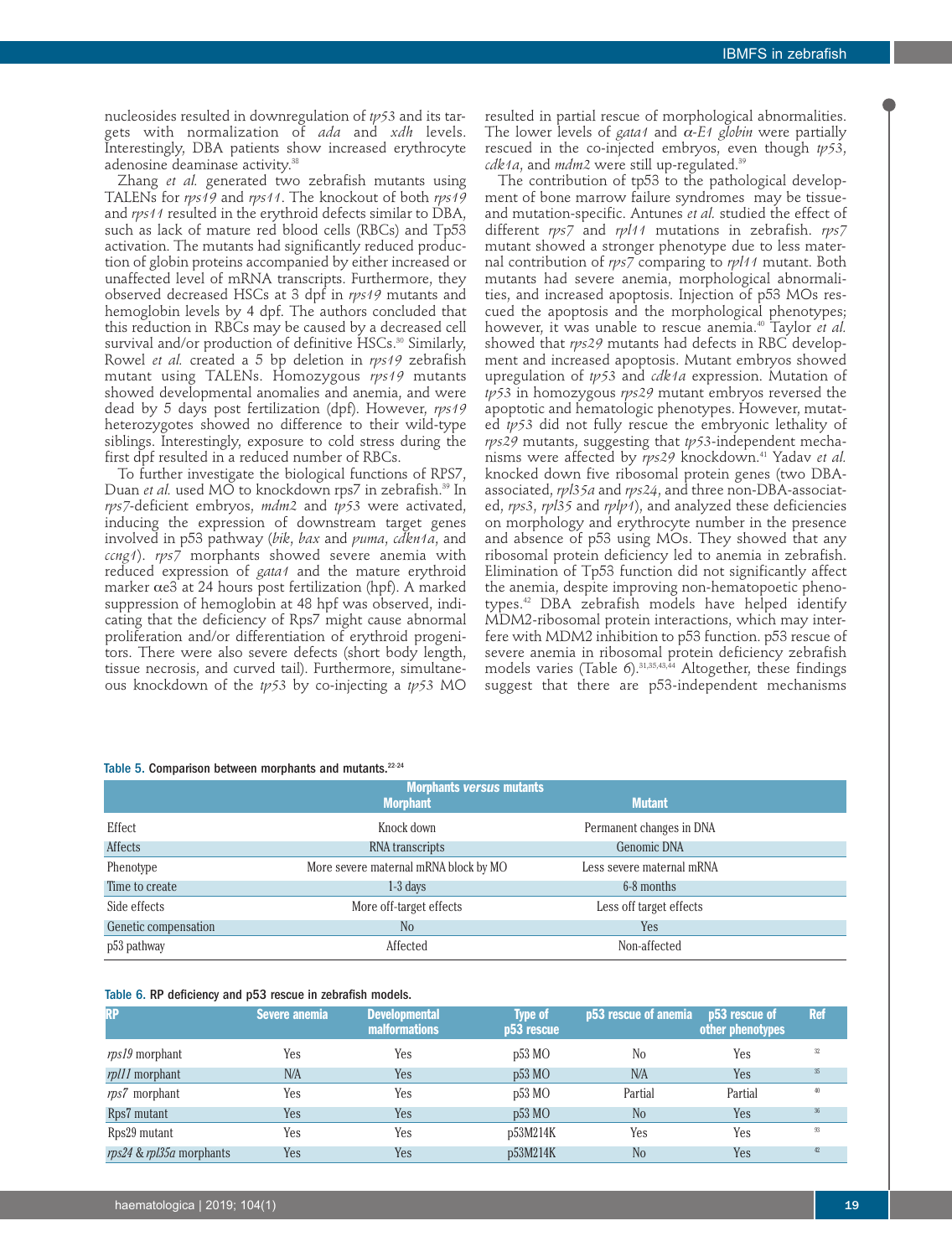resulted in partial rescue of morphological abnormalities. The lower levels of *gata1* and α*-E1 globin* were partially rescued in the co-injected embryos, even though *tp53*,

The contribution of tp53 to the pathological development of bone marrow failure syndromes may be tissueand mutation-specific. Antunes *et al.* studied the effect of different *rps7* and *rpl11* mutations in zebrafish. *rps7* mutant showed a stronger phenotype due to less maternal contribution of *rps7* comparing to *rpl11* mutant. Both mutants had severe anemia, morphological abnormalities, and increased apoptosis. Injection of p53 MOs rescued the apoptosis and the morphological phenotypes; however, it was unable to rescue anemia.40 Taylor *et al.* showed that *rps29* mutants had defects in RBC development and increased apoptosis. Mutant embryos showed upregulation of *tp53* and *cdk1a* expression. Mutation of *tp53* in homozygous *rps29* mutant embryos reversed the apoptotic and hematologic phenotypes. However, mutated *tp53* did not fully rescue the embryonic lethality of *rps29* mutants, suggesting that *tp53*-independent mechanisms were affected by *rps29* knockdown.41 Yadav *et al.* knocked down five ribosomal protein genes (two DBAassociated, *rpl35a* and *rps24*, and three non-DBA-associated, *rps3*, *rpl35* and *rplp1*), and analyzed these deficiencies on morphology and erythrocyte number in the presence and absence of p53 using MOs. They showed that any ribosomal protein deficiency led to anemia in zebrafish. Elimination of Tp53 function did not significantly affect the anemia, despite improving non-hematopoetic phenotypes.42 DBA zebrafish models have helped identify MDM2-ribosomal protein interactions, which may interfere with MDM2 inhibition to p53 function. p53 rescue of severe anemia in ribosomal protein deficiency zebrafish models varies (Table 6). $31,35,43,44$  Altogether, these findings suggest that there are p53-independent mechanisms

*cdk1a*, and *mdm2* were still up-regulated.39

nucleosides resulted in downregulation of *tp53* and its targets with normalization of *ada* and *xdh* levels. Interestingly, DBA patients show increased erythrocyte adenosine deaminase activity.<sup>38</sup>

Zhang *et al.* generated two zebrafish mutants using TALENs for *rps19* and *rps11*. The knockout of both *rps19* and *rps11* resulted in the erythroid defects similar to DBA, such as lack of mature red blood cells (RBCs) and Tp53 activation. The mutants had significantly reduced production of globin proteins accompanied by either increased or unaffected level of mRNA transcripts. Furthermore, they observed decreased HSCs at 3 dpf in *rps19* mutants and hemoglobin levels by 4 dpf. The authors concluded that this reduction in RBCs may be caused by a decreased cell survival and/or production of definitive HSCs.<sup>30</sup> Similarly, Rowel *et al.* created a 5 bp deletion in *rps19* zebrafish mutant using TALENs. Homozygous *rps19* mutants showed developmental anomalies and anemia, and were dead by 5 days post fertilization (dpf). However, *rps19* heterozygotes showed no difference to their wild-type siblings. Interestingly, exposure to cold stress during the first dpf resulted in a reduced number of RBCs.

To further investigate the biological functions of RPS7, Duan *et al.* used MO to knockdown rps7 in zebrafish.<sup>39</sup> In *rps7*-deficient embryos, *mdm2* and *tp53* were activated, inducing the expression of downstream target genes involved in p53 pathway (*bik*, *bax* and *puma*, *cdkn1a*, and *ccng1*). *rps7* morphants showed severe anemia with reduced expression of *gata1* and the mature erythroid marker αe3 at 24 hours post fertilization (hpf). A marked suppression of hemoglobin at 48 hpf was observed, indicating that the deficiency of Rps7 might cause abnormal proliferation and/or differentiation of erythroid progenitors. There were also severe defects (short body length, tissue necrosis, and curved tail). Furthermore, simultaneous knockdown of the *tp53* by co-injecting a *tp53* MO

#### Table 5. Comparison between morphants and mutants.<sup>22-24</sup>

|                      | <b>Morphants versus mutants</b><br><b>Morphant</b> | <b>Mutant</b>             |  |
|----------------------|----------------------------------------------------|---------------------------|--|
| Effect               | Knock down                                         | Permanent changes in DNA  |  |
| Affects              | RNA transcripts                                    | Genomic DNA               |  |
| Phenotype            | More severe maternal mRNA block by MO              | Less severe maternal mRNA |  |
| Time to create       | $1-3$ days                                         | 6-8 months                |  |
| Side effects         | More off-target effects                            | Less off target effects   |  |
| Genetic compensation | N <sub>o</sub>                                     | Yes                       |  |
| p53 pathway          | Affected                                           | Non-affected              |  |

#### Table 6. RP deficiency and p53 rescue in zebrafish models.

| <b>RP</b>                | Severe anemia | <b>Developmental</b><br><b>malformations</b> | <b>Type of</b><br>p53 rescue | p53 rescue of anemia | p53 rescue of<br>other phenotypes | <b>Ref</b> |
|--------------------------|---------------|----------------------------------------------|------------------------------|----------------------|-----------------------------------|------------|
| $rps19$ morphant         | Yes           | Yes                                          | p53 MO                       | No                   | Yes                               | 32         |
| rpl11 morphant           | N/A           | Yes                                          | p53 MO                       | N/A                  | Yes                               | $35\,$     |
| $\eta$ s7 morphant       | Yes           | Yes                                          | p53 MO                       | Partial              | Partial                           | 40         |
| Rps7 mutant              | Yes           | Yes                                          | $p53$ MO                     | N <sub>o</sub>       | Yes                               | 36         |
| Rps29 mutant             | Yes           | Yes                                          | p53M214K                     | Yes                  | Yes                               | 93         |
| rps24 & rpl35a morphants | Yes           | Yes                                          | p53M214K                     | N <sub>o</sub>       | Yes                               | 42         |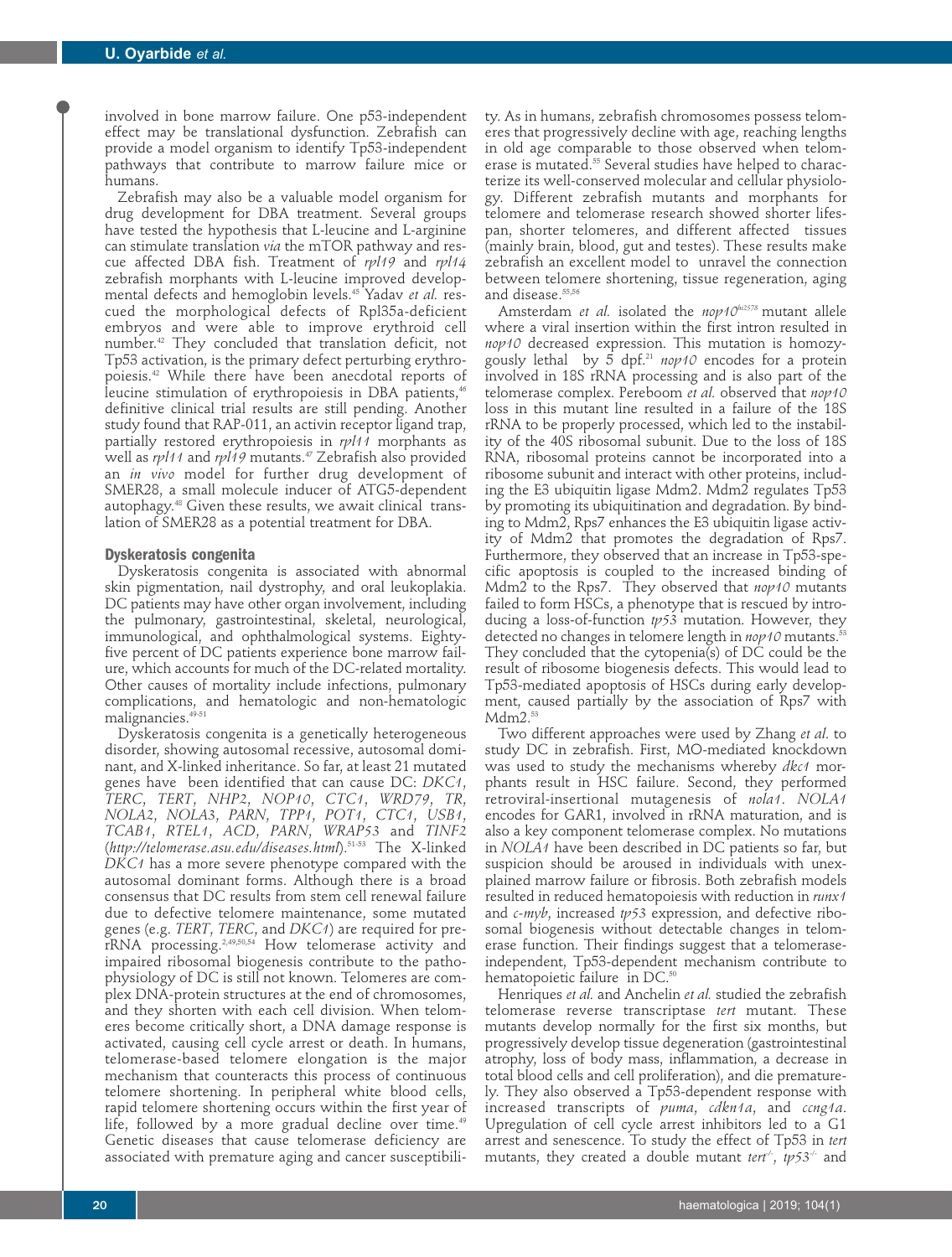involved in bone marrow failure. One p53-independent effect may be translational dysfunction. Zebrafish can provide a model organism to identify Tp53-independent pathways that contribute to marrow failure mice or humans.

Zebrafish may also be a valuable model organism for drug development for DBA treatment. Several groups have tested the hypothesis that L-leucine and L-arginine can stimulate translation *via* the mTOR pathway and rescue affected DBA fish. Treatment of *rpl19* and *rpl14* zebrafish morphants with L-leucine improved developmental defects and hemoglobin levels.45 Yadav *et al.* rescued the morphological defects of Rpl35a-deficient embryos and were able to improve erythroid cell number.42 They concluded that translation deficit, not Tp53 activation, is the primary defect perturbing erythropoiesis.42 While there have been anecdotal reports of leucine stimulation of erythropoiesis in DBA patients,<sup>46</sup> definitive clinical trial results are still pending. Another study found that RAP-011, an activin receptor ligand trap, partially restored erythropoiesis in *rpl11* morphants as well as *rpl11* and *rpl19* mutants.<sup>47</sup> Zebrafish also provided an *in vivo* model for further drug development of SMER28, a small molecule inducer of ATG5-dependent autophagy.48 Given these results, we await clinical translation of SMER28 as a potential treatment for DBA.

#### **Dyskeratosis congenita**

Dyskeratosis congenita is associated with abnormal skin pigmentation, nail dystrophy, and oral leukoplakia. DC patients may have other organ involvement, including the pulmonary, gastrointestinal, skeletal, neurological, immunological, and ophthalmological systems. Eightyfive percent of DC patients experience bone marrow failure, which accounts for much of the DC-related mortality. Other causes of mortality include infections, pulmonary complications, and hematologic and non-hematologic malignancies.<sup>49-51</sup>

Dyskeratosis congenita is a genetically heterogeneous disorder, showing autosomal recessive, autosomal dominant, and X-linked inheritance. So far, at least 21 mutated genes have been identified that can cause DC: *DKC1*, *TERC*, *TERT*, *NHP2*, *NOP10*, *CTC1*, *WRD79*, *TR*, *NOLA2*, *NOLA3*, *PARN*, *TPP1*, *POT1*, *CTC1*, *USB1*, *TCAB1*, *RTEL1*, *ACD*, *PARN*, *WRAP53* and *TINF2* (*http://telomerase.asu.edu/diseases.html*).51-53 The X-linked *DKC1* has a more severe phenotype compared with the autosomal dominant forms. Although there is a broad consensus that DC results from stem cell renewal failure due to defective telomere maintenance, some mutated genes (e.g. *TERT*, *TERC*, and *DKC1*) are required for prerRNA processing.2,49,50,54 How telomerase activity and impaired ribosomal biogenesis contribute to the pathophysiology of DC is still not known. Telomeres are complex DNA-protein structures at the end of chromosomes, and they shorten with each cell division. When telomeres become critically short, a DNA damage response is activated, causing cell cycle arrest or death. In humans, telomerase-based telomere elongation is the major mechanism that counteracts this process of continuous telomere shortening. In peripheral white blood cells, rapid telomere shortening occurs within the first year of life, followed by a more gradual decline over time.<sup>49</sup> Genetic diseases that cause telomerase deficiency are associated with premature aging and cancer susceptibili-

ty. As in humans, zebrafish chromosomes possess telomeres that progressively decline with age, reaching lengths in old age comparable to those observed when telomerase is mutated.55 Several studies have helped to characterize its well-conserved molecular and cellular physiology. Different zebrafish mutants and morphants for telomere and telomerase research showed shorter lifespan, shorter telomeres, and different affected tissues (mainly brain, blood, gut and testes). These results make zebrafish an excellent model to unravel the connection between telomere shortening, tissue regeneration, aging and disease.<sup>55,56</sup>

Amsterdam *et al.* isolated the *nop10hi2578* mutant allele where a viral insertion within the first intron resulted in *nop10* decreased expression. This mutation is homozygously lethal by 5 dpf.21 *nop10* encodes for a protein involved in 18S rRNA processing and is also part of the telomerase complex. Pereboom *et al.* observed that *nop10* loss in this mutant line resulted in a failure of the 18S rRNA to be properly processed, which led to the instability of the 40S ribosomal subunit. Due to the loss of 18S RNA, ribosomal proteins cannot be incorporated into a ribosome subunit and interact with other proteins, including the E3 ubiquitin ligase Mdm2. Mdm2 regulates Tp53 by promoting its ubiquitination and degradation. By binding to Mdm2, Rps7 enhances the E3 ubiquitin ligase activity of Mdm2 that promotes the degradation of Rps7. Furthermore, they observed that an increase in Tp53-specific apoptosis is coupled to the increased binding of Mdm2 to the Rps7. They observed that *nop10* mutants failed to form HSCs, a phenotype that is rescued by introducing a loss-of-function *tp53* mutation. However, they detected no changes in telomere length in  $nop10$  mutants.<sup>5</sup> They concluded that the cytopenia(s) of DC could be the result of ribosome biogenesis defects. This would lead to Tp53-mediated apoptosis of HSCs during early development, caused partially by the association of Rps7 with  $Mdm2.<sup>53</sup>$ 

Two different approaches were used by Zhang *et al*. to study DC in zebrafish. First, MO-mediated knockdown was used to study the mechanisms whereby *dkc1* morphants result in HSC failure. Second, they performed retroviral-insertional mutagenesis of *nola1*. *NOLA1* encodes for GAR1, involved in rRNA maturation, and is also a key component telomerase complex. No mutations in *NOLA1* have been described in DC patients so far, but suspicion should be aroused in individuals with unexplained marrow failure or fibrosis. Both zebrafish models resulted in reduced hematopoiesis with reduction in *runx1* and *c-myb*, increased *tp53* expression, and defective ribosomal biogenesis without detectable changes in telomerase function. Their findings suggest that a telomeraseindependent, Tp53-dependent mechanism contribute to hematopoietic failure in DC.<sup>50</sup>

Henriques *et al.* and Anchelin *et al.* studied the zebrafish telomerase reverse transcriptase *tert* mutant. These mutants develop normally for the first six months, but progressively develop tissue degeneration (gastrointestinal atrophy, loss of body mass, inflammation, a decrease in total blood cells and cell proliferation), and die prematurely. They also observed a Tp53-dependent response with increased transcripts of *puma*, *cdkn1a*, and *ccng1a*. Upregulation of cell cycle arrest inhibitors led to a G1 arrest and senescence. To study the effect of Tp53 in *tert* mutants, they created a double mutant *tert<sup>-</sup>*, *tp53<sup>-/-</sup>* and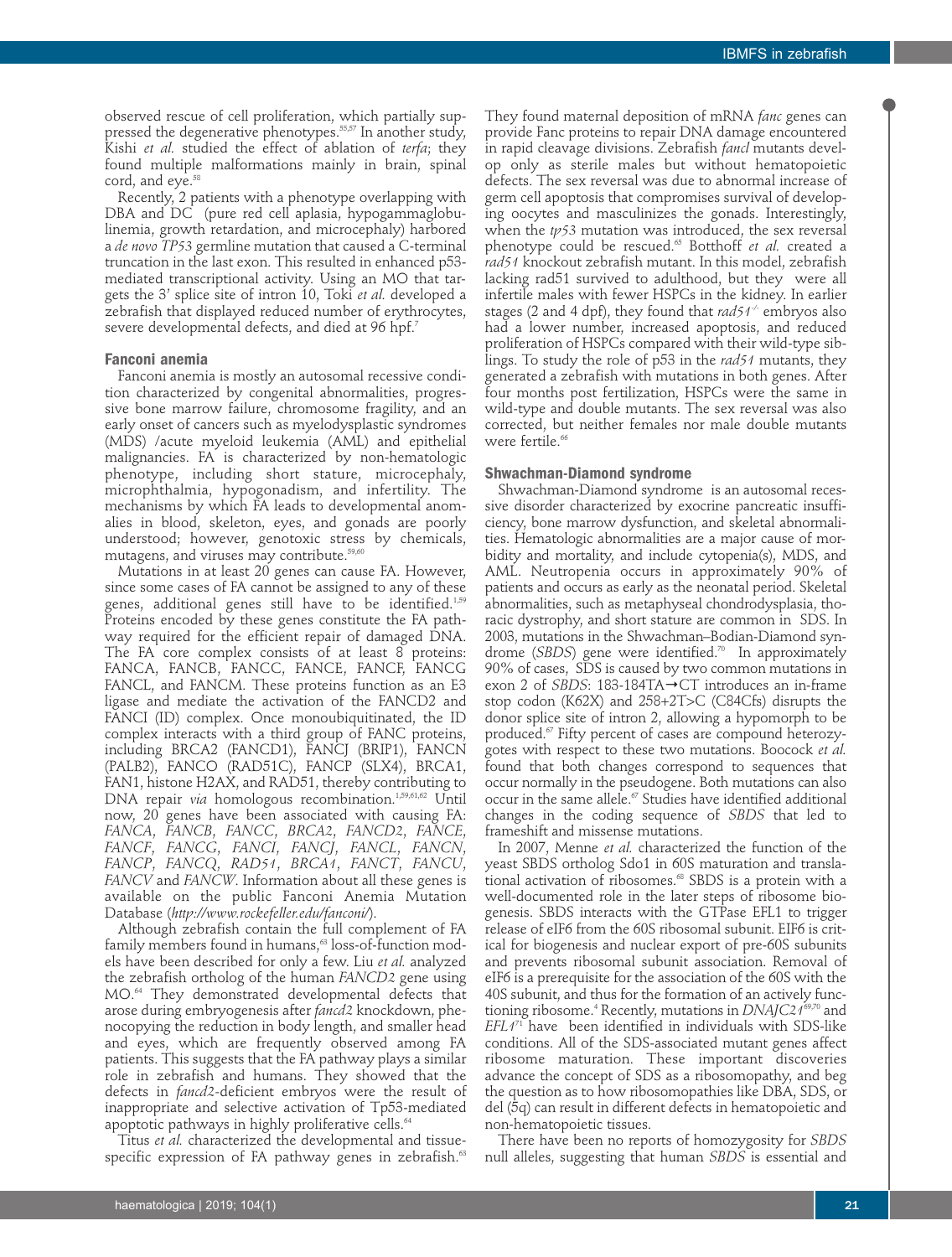observed rescue of cell proliferation, which partially suppressed the degenerative phenotypes.<sup>55,57</sup> In another study, Kishi *et al.* studied the effect of ablation of *terfa*; they found multiple malformations mainly in brain, spinal cord, and eye.<sup>58</sup>

Recently, 2 patients with a phenotype overlapping with DBA and DC (pure red cell aplasia, hypogammaglobulinemia, growth retardation, and microcephaly) harbored a *de novo TP53* germline mutation that caused a C-terminal truncation in the last exon. This resulted in enhanced p53 mediated transcriptional activity. Using an MO that targets the 3' splice site of intron 10, Toki *et al.* developed a zebrafish that displayed reduced number of erythrocytes, severe developmental defects, and died at 96 hpf.<sup>7</sup>

#### **Fanconi anemia**

Fanconi anemia is mostly an autosomal recessive condition characterized by congenital abnormalities, progressive bone marrow failure, chromosome fragility, and an early onset of cancers such as myelodysplastic syndromes (MDS) /acute myeloid leukemia (AML) and epithelial malignancies. FA is characterized by non-hematologic phenotype, including short stature, microcephaly, microphthalmia, hypogonadism, and infertility. The mechanisms by which FA leads to developmental anomalies in blood, skeleton, eyes, and gonads are poorly understood; however, genotoxic stress by chemicals, mutagens, and viruses may contribute.<sup>59,60</sup>

Mutations in at least 20 genes can cause FA. However, since some cases of FA cannot be assigned to any of these genes, additional genes still have to be identified.<sup>1,59</sup> Proteins encoded by these genes constitute the FA pathway required for the efficient repair of damaged DNA. The FA core complex consists of at least 8 proteins: FANCA, FANCB, FANCC, FANCE, FANCF, FANCG FANCL, and FANCM. These proteins function as an E3 ligase and mediate the activation of the FANCD2 and FANCI (ID) complex. Once monoubiquitinated, the ID complex interacts with a third group of FANC proteins, including BRCA2 (FANCD1), FANCJ (BRIP1), FANCN (PALB2), FANCO (RAD51C), FANCP (SLX4), BRCA1, FAN1, histone H2AX, and RAD51, thereby contributing to DNA repair *via* homologous recombination.<sup>1,59,61,62</sup> Until now, 20 genes have been associated with causing FA: *FANCA*, *FANCB*, *FANCC*, *BRCA2*, *FANCD2*, *FANCE*, *FANCF*, *FANCG*, *FANCI*, *FANCJ*, *FANCL*, *FANCN*, *FANCP*, *FANCQ*, *RAD51*, *BRCA1*, *FANCT*, *FANCU*, *FANCV* and *FANCW*. Information about all these genes is available on the public Fanconi Anemia Mutation Database (*http://www.rockefeller.edu/fanconi/*).

Although zebrafish contain the full complement of FA family members found in humans,<sup>63</sup> loss-of-function models have been described for only a few. Liu *et al.* analyzed the zebrafish ortholog of the human *FANCD2* gene using MO.64 They demonstrated developmental defects that arose during embryogenesis after *fancd2* knockdown, phenocopying the reduction in body length, and smaller head and eyes, which are frequently observed among FA patients. This suggests that the FA pathway plays a similar role in zebrafish and humans. They showed that the defects in *fancd2-*deficient embryos were the result of inappropriate and selective activation of Tp53-mediated apoptotic pathways in highly proliferative cells.<sup>64</sup>

Titus *et al.* characterized the developmental and tissuespecific expression of FA pathway genes in zebrafish.<sup>63</sup>

op only as sterile males but without hematopoietic defects. The sex reversal was due to abnormal increase of germ cell apoptosis that compromises survival of developing oocytes and masculinizes the gonads. Interestingly, when the *tp53* mutation was introduced, the sex reversal phenotype could be rescued.65 Botthoff *et al.* created a *rad51* knockout zebrafish mutant. In this model, zebrafish lacking rad51 survived to adulthood, but they were all infertile males with fewer HSPCs in the kidney. In earlier stages (2 and 4 dpf), they found that *rad51-/-* embryos also had a lower number, increased apoptosis, and reduced proliferation of HSPCs compared with their wild-type siblings. To study the role of p53 in the *rad51* mutants, they generated a zebrafish with mutations in both genes. After four months post fertilization, HSPCs were the same in wild-type and double mutants. The sex reversal was also corrected, but neither females nor male double mutants were fertile.<sup>66</sup> **Shwachman-Diamond syndrome**  Shwachman-Diamond syndrome is an autosomal reces-

They found maternal deposition of mRNA *fanc* genes can provide Fanc proteins to repair DNA damage encountered in rapid cleavage divisions. Zebrafish *fancl* mutants devel-

sive disorder characterized by exocrine pancreatic insufficiency, bone marrow dysfunction, and skeletal abnormalities. Hematologic abnormalities are a major cause of morbidity and mortality, and include cytopenia(s), MDS, and AML. Neutropenia occurs in approximately 90% of patients and occurs as early as the neonatal period. Skeletal abnormalities, such as metaphyseal chondrodysplasia, thoracic dystrophy, and short stature are common in SDS. In 2003, mutations in the Shwachman–Bodian-Diamond syndrome (SBDS) gene were identified.<sup>70</sup> In approximately 90% of cases, SDS is caused by two common mutations in exon 2 of *SBDS*: 183-184TA→CT introduces an in-frame stop codon (K62X) and 258+2T>C (C84Cfs) disrupts the donor splice site of intron 2, allowing a hypomorph to be produced.<sup>67</sup> Fifty percent of cases are compound heterozygotes with respect to these two mutations. Boocock *et al.* found that both changes correspond to sequences that occur normally in the pseudogene. Both mutations can also occur in the same allele. $\sigma$  Studies have identified additional changes in the coding sequence of *SBDS* that led to frameshift and missense mutations.

In 2007, Menne *et al.* characterized the function of the yeast SBDS ortholog Sdo1 in 60S maturation and translational activation of ribosomes.<sup>68</sup> SBDS is a protein with a well-documented role in the later steps of ribosome biogenesis. SBDS interacts with the GTPase EFL1 to trigger release of eIF6 from the 60S ribosomal subunit. EIF6 is critical for biogenesis and nuclear export of pre-60S subunits and prevents ribosomal subunit association. Removal of eIF6 is a prerequisite for the association of the 60S with the 40S subunit, and thus for the formation of an actively functioning ribosome.4 Recently, mutations in *DNAJC21*69,70 and *EFL1*<sup>71</sup> have been identified in individuals with SDS-like conditions. All of the SDS-associated mutant genes affect ribosome maturation. These important discoveries advance the concept of SDS as a ribosomopathy, and beg the question as to how ribosomopathies like DBA, SDS, or del (5q) can result in different defects in hematopoietic and non-hematopoietic tissues.

There have been no reports of homozygosity for *SBDS* null alleles, suggesting that human *SBDS* is essential and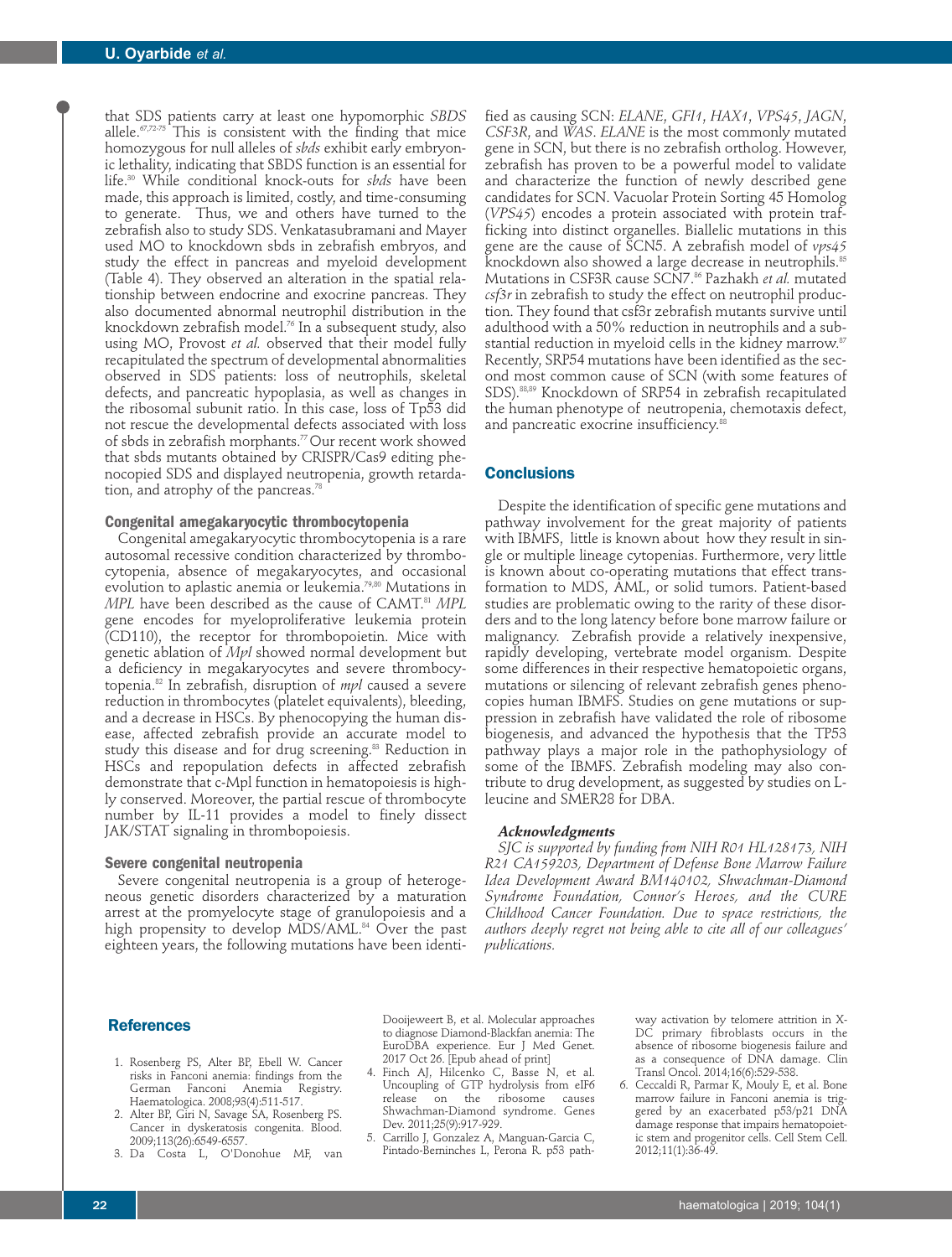that SDS patients carry at least one hypomorphic *SBDS* allele. $\frac{67,72.75}{ }$  This is consistent with the finding that mice homozygous for null alleles of *sbds* exhibit early embryonic lethality, indicating that SBDS function is an essential for life.30 While conditional knock-outs for *sbds* have been made, this approach is limited, costly, and time-consuming to generate. Thus, we and others have turned to the zebrafish also to study SDS. Venkatasubramani and Mayer used MO to knockdown sbds in zebrafish embryos, and study the effect in pancreas and myeloid development (Table 4). They observed an alteration in the spatial relationship between endocrine and exocrine pancreas. They also documented abnormal neutrophil distribution in the knockdown zebrafish model.76 In a subsequent study, also using MO, Provost *et al.* observed that their model fully recapitulated the spectrum of developmental abnormalities observed in SDS patients: loss of neutrophils, skeletal defects, and pancreatic hypoplasia, as well as changes in the ribosomal subunit ratio. In this case, loss of Tp53 did not rescue the developmental defects associated with loss of sbds in zebrafish morphants.77 Our recent work showed that sbds mutants obtained by CRISPR/Cas9 editing phenocopied SDS and displayed neutropenia, growth retardation, and atrophy of the pancreas.<sup>78</sup>

#### **Congenital amegakaryocytic thrombocytopenia**

Congenital amegakaryocytic thrombocytopenia is a rare autosomal recessive condition characterized by thrombocytopenia, absence of megakaryocytes, and occasional evolution to aplastic anemia or leukemia.<sup>79,80</sup> Mutations in *MPL* have been described as the cause of CAMT.81 *MPL* gene encodes for myeloproliferative leukemia protein (CD110), the receptor for thrombopoietin. Mice with genetic ablation of *Mpl* showed normal development but a deficiency in megakaryocytes and severe thrombocytopenia.82 In zebrafish, disruption of *mpl* caused a severe reduction in thrombocytes (platelet equivalents), bleeding, and a decrease in HSCs. By phenocopying the human disease, affected zebrafish provide an accurate model to study this disease and for drug screening.<sup>83</sup> Reduction in HSCs and repopulation defects in affected zebrafish demonstrate that c-Mpl function in hematopoiesis is highly conserved. Moreover, the partial rescue of thrombocyte number by IL-11 provides a model to finely dissect JAK/STAT signaling in thrombopoiesis.

#### **Severe congenital neutropenia**

Severe congenital neutropenia is a group of heterogeneous genetic disorders characterized by a maturation arrest at the promyelocyte stage of granulopoiesis and a high propensity to develop MDS/AML.<sup>84</sup> Over the past eighteen years, the following mutations have been identified as causing SCN: *ELANE*, *GFI1*, *HAX1*, *VPS45*, *JAGN*, *CSF3R*, and *WAS*. *ELANE* is the most commonly mutated gene in SCN, but there is no zebrafish ortholog. However, zebrafish has proven to be a powerful model to validate and characterize the function of newly described gene candidates for SCN. Vacuolar Protein Sorting 45 Homolog (*VPS45*) encodes a protein associated with protein trafficking into distinct organelles. Biallelic mutations in this gene are the cause of SCN5. A zebrafish model of *vps45* knockdown also showed a large decrease in neutrophils.<sup>85</sup> Mutations in CSF3R cause SCN7.86 Pazhakh *et al.* mutated *csf3r* in zebrafish to study the effect on neutrophil production. They found that csf3r zebrafish mutants survive until adulthood with a 50% reduction in neutrophils and a substantial reduction in myeloid cells in the kidney marrow.<sup>87</sup> Recently, SRP54 mutations have been identified as the second most common cause of SCN (with some features of SDS).88,89 Knockdown of SRP54 in zebrafish recapitulated the human phenotype of neutropenia, chemotaxis defect, and pancreatic exocrine insufficiency.<sup>88</sup>

# **Conclusions**

Despite the identification of specific gene mutations and pathway involvement for the great majority of patients with IBMFS, little is known about how they result in single or multiple lineage cytopenias. Furthermore, very little is known about co-operating mutations that effect transformation to MDS, AML, or solid tumors. Patient-based studies are problematic owing to the rarity of these disorders and to the long latency before bone marrow failure or malignancy. Zebrafish provide a relatively inexpensive, rapidly developing, vertebrate model organism. Despite some differences in their respective hematopoietic organs, mutations or silencing of relevant zebrafish genes phenocopies human IBMFS. Studies on gene mutations or suppression in zebrafish have validated the role of ribosome biogenesis, and advanced the hypothesis that the TP53 pathway plays a major role in the pathophysiology of some of the IBMFS. Zebrafish modeling may also contribute to drug development, as suggested by studies on Lleucine and SMER28 for DBA.

#### *Acknowledgments*

*SJC is supported by funding from NIH R01 HL128173, NIH R21 CA159203, Department of Defense Bone Marrow Failure Idea Development Award BM140102, Shwachman-Diamond Syndrome Foundation, Connor's Heroes, and the CURE Childhood Cancer Foundation. Due to space restrictions, the authors deeply regret not being able to cite all of our colleagues' publications.*

## **References**

- 1. Rosenberg PS, Alter BP, Ebell W. Cancer risks in Fanconi anemia: findings from the German Fanconi Anemia Registry. Haematologica. 2008;93(4):511-517.
- 2. Alter BP, Giri N, Savage SA, Rosenberg PS. Cancer in dyskeratosis congenita. Blood. 2009;113(26):6549-6557.
- 3. Da Costa L, O'Donohue MF, van

Dooijeweert B, et al. Molecular approaches to diagnose Diamond-Blackfan anemia: The EuroDBA experience. Eur J Med Genet. 2017 Oct 26. [Epub ahead of print]

- 4. Finch AJ, Hilcenko C, Basse N, et al. Uncoupling of GTP hydrolysis from eIF6 release on the ribosome causes Shwachman-Diamond syndrome. Genes Dev. 2011;25(9):917-929.
- 5. Carrillo J, Gonzalez A, Manguan-Garcia C, Pintado-Berninches L, Perona R. p53 path-

way activation by telomere attrition in X-DC primary fibroblasts occurs in the absence of ribosome biogenesis failure and as a consequence of DNA damage. Clin Transl Oncol. 2014;16(6):529-538.

6. Ceccaldi R, Parmar K, Mouly E, et al. Bone marrow failure in Fanconi anemia is triggered by an exacerbated p53/p21 DNA damage response that impairs hematopoietic stem and progenitor cells. Cell Stem Cell. 2012;11(1):36-49.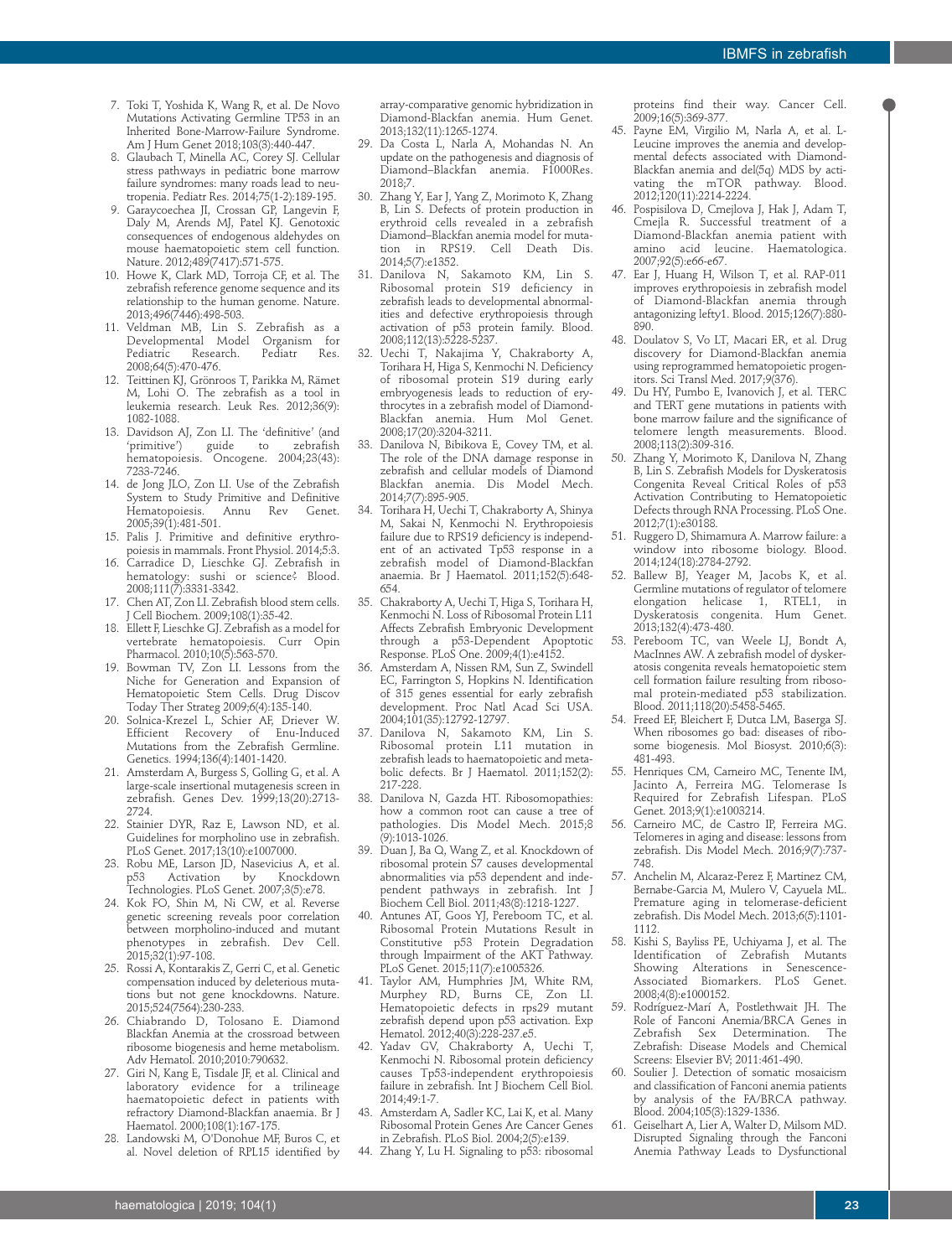- 7. Toki T, Yoshida K, Wang R, et al. De Novo Mutations Activating Germline TP53 in an Inherited Bone-Marrow-Failure Syndrome. Am J Hum Genet 2018;103(3):440-447.
- 8. Glaubach T, Minella AC, Corey SJ. Cellular stress pathways in pediatric bone marrow failure syndromes: many roads lead to neutropenia. Pediatr Res. 2014;75(1-2):189-195.
- 9. Garaycoechea JI, Crossan GP, Langevin F, Daly M, Arends MJ, Patel KJ. Genotoxic consequences of endogenous aldehydes on mouse haematopoietic stem cell function. Nature. 2012;489(7417):571-575.
- 10. Howe K, Clark MD, Torroja CF, et al. The zebrafish reference genome sequence and its relationship to the human genome. Nature. 2013;496(7446):498-503.
- 11. Veldman MB, Lin S. Zebrafish as a Developmental Model Organism for Pediatric Research. Pediatr 2008;64(5):470-476.
- 12. Teittinen KJ, Grönroos T, Parikka M, Rämet M, Lohi O. The zebrafish as a tool in leukemia research. Leuk Res. 2012;36(9): 1082-1088.
- 13. Davidson AJ, Zon LI. The 'definitive' (and<br>
'primitive') guide to zebrafish guide to hematopoiesis. Oncogene. 2004;23(43): 7233-7246.
- 14. de Jong JLO, Zon LI. Use of the Zebrafish System to Study Primitive and Definitive<br>Hematopoiesis. Annu Rev Genet. Annu Rev 2005;39(1):481-501.
- 15. Palis J. Primitive and definitive erythropoiesis in mammals. Front Physiol. 2014;5:3.
- 16. Carradice D, Lieschke GJ. Zebrafish in hematology: sushi or science? Blood. 2008;111(7):3331-3342.
- 17. Chen AT, Zon LI. Zebrafish blood stem cells. J Cell Biochem. 2009;108(1):35-42.
- 18. Ellett F, Lieschke GJ. Zebrafish as a model for vertebrate hematopoiesis. Curr Opin Pharmacol. 2010;10(5):563-570.
- 19. Bowman TV, Zon LI. Lessons from the Niche for Generation and Expansion of Hematopoietic Stem Cells. Drug Discov Today Ther Strateg 2009;6(4):135-140.
- 20. Solnica-Krezel L, Schier AF, Driever W. Efficient Recovery of Enu-Induced Mutations from the Zebrafish Germline. Genetics. 1994;136(4):1401-1420.
- 21. Amsterdam A, Burgess S, Golling G, et al. A large-scale insertional mutagenesis screen in zebrafish. Genes Dev. 1999;13(20):2713- 2724.
- 22. Stainier DYR, Raz E, Lawson ND, et al. Guidelines for morpholino use in zebrafish. PLoS Genet. 2017;13(10):e1007000.
- 23. Robu ME, Larson JD, Nasevicius A, et al.<br>p53 Activation by Knockdown Activation Technologies. PLoS Genet. 2007;3(5):e78.
- 24. Kok FO, Shin M, Ni CW, et al. Reverse genetic screening reveals poor correlation between morpholino-induced and mutant phenotypes in zebrafish. Dev Cell. 2015;32(1):97-108.
- 25. Rossi A, Kontarakis Z, Gerri C, et al. Genetic compensation induced by deleterious mutations but not gene knockdowns. Nature. 2015;524(7564):230-233.
- 26. Chiabrando D, Tolosano E. Diamond Blackfan Anemia at the crossroad between ribosome biogenesis and heme metabolism. Adv Hematol. 2010;2010:790632.
- 27. Giri N, Kang E, Tisdale JF, et al. Clinical and laboratory evidence for a trilineage haematopoietic defect in patients with refractory Diamond-Blackfan anaemia. Br J Haematol. 2000;108(1):167-175.
- 28. Landowski M, O'Donohue MF, Buros C, et al. Novel deletion of RPL15 identified by

array-comparative genomic hybridization in Diamond-Blackfan anemia. Hum Genet. 2013;132(11):1265-1274.

- 29. Da Costa L, Narla A, Mohandas N. An update on the pathogenesis and diagnosis of Diamond–Blackfan anemia. F1000Res. 2018;7.
- Zhang Y, Ear J, Yang Z, Morimoto K, Zhang B, Lin S. Defects of protein production in erythroid cells revealed in a zebrafish Diamond–Blackfan anemia model for mutation in RPS19. Cell Death Dis. 2014;5(7):e1352.
- Danilova N, Sakamoto KM, Lin S. Ribosomal protein S19 deficiency in zebrafish leads to developmental abnormalities and defective erythropoiesis through activation of p53 protein family. Blood. 2008;112(13):5228-5237.
- 32. Uechi T, Nakajima Y, Chakraborty A, Torihara H, Higa S, Kenmochi N. Deficiency of ribosomal protein S19 during early embryogenesis leads to reduction of erythrocytes in a zebrafish model of Diamond-Blackfan anemia. Hum Mol Genet. 2008;17(20):3204-3211.
- 33. Danilova N, Bibikova E, Covey TM, et al. The role of the DNA damage response in zebrafish and cellular models of Diamond Blackfan anemia. Dis Model Mech. 2014;7(7):895-905.
- 34. Torihara H, Uechi T, Chakraborty A, Shinya M, Sakai N, Kenmochi N. Erythropoiesis failure due to RPS19 deficiency is independent of an activated Tp53 response in a zebrafish model of Diamond-Blackfan anaemia. Br J Haematol. 2011;152(5):648- 654.
- 35. Chakraborty A, Uechi T, Higa S, Torihara H, Kenmochi N. Loss of Ribosomal Protein L11 Affects Zebrafish Embryonic Development through a p53-Dependent Apoptotic Response. PLoS One. 2009;4(1):e4152.
- 36. Amsterdam A, Nissen RM, Sun Z, Swindell EC, Farrington S, Hopkins N. Identification of 315 genes essential for early zebrafish development. Proc Natl Acad Sci USA. 2004;101(35):12792-12797.
- Danilova N, Sakamoto KM, Lin S. Ribosomal protein L11 mutation in zebrafish leads to haematopoietic and metabolic defects. Br J Haematol. 2011;152(2): 217-228.
- 38. Danilova N, Gazda HT. Ribosomopathies: how a common root can cause a tree of pathologies. Dis Model Mech. 2015;8 (9):1013-1026.
- 39. Duan J, Ba Q, Wang Z, et al. Knockdown of ribosomal protein S7 causes developmental abnormalities via p53 dependent and independent pathways in zebrafish. Int J Biochem Cell Biol. 2011;43(8):1218-1227.
- 40. Antunes AT, Goos YJ, Pereboom TC, et al. Ribosomal Protein Mutations Result in Constitutive p53 Protein Degradation through Impairment of the AKT Pathway. PLoS Genet. 2015;11(7):e1005326.
- 41. Taylor AM, Humphries JM, White RM, Murphey RD, Burns CE, Zon LI. Hematopoietic defects in rps29 mutant zebrafish depend upon p53 activation. Exp Hematol. 2012;40(3):228-237.e5.
- 42. Yadav GV, Chakraborty A, Uechi T, Kenmochi N. Ribosomal protein deficiency causes Tp53-independent erythropoiesis failure in zebrafish. Int J Biochem Cell Biol. 2014;49:1-7.
- 43. Amsterdam A, Sadler KC, Lai K, et al. Many Ribosomal Protein Genes Are Cancer Genes in Zebrafish. PLoS Biol. 2004;2(5):e139.
- 44. Zhang Y, Lu H. Signaling to p53: ribosomal

proteins find their way. Cancer Cell. .<br>2009;16(5):369-377.

- 45. Payne EM, Virgilio M, Narla A, et al. L-Leucine improves the anemia and developmental defects associated with Diamond-Blackfan anemia and del(5q) MDS by activating the mTOR pathway. Blood. 2012;120(11):2214-2224.
- 46. Pospisilova D, Cmejlova J, Hak J, Adam T, Cmejla R. Successful treatment of a Diamond-Blackfan anemia patient with amino acid leucine. Haematologica. 2007;92(5):e66-e67.
- 47. Ear J, Huang H, Wilson T, et al. RAP-011 improves erythropoiesis in zebrafish model of Diamond-Blackfan anemia through antagonizing lefty1. Blood. 2015;126(7):880- 890.
- 48. Doulatov S, Vo LT, Macari ER, et al. Drug discovery for Diamond-Blackfan anemia using reprogrammed hematopoietic progenitors. Sci Transl Med. 2017;9(376).
- 49. Du HY, Pumbo E, Ivanovich J, et al. TERC and TERT gene mutations in patients with bone marrow failure and the significance of telomere length measurements. Blood. 2008;113(2):309-316.
- 50. Zhang Y, Morimoto K, Danilova N, Zhang B, Lin S. Zebrafish Models for Dyskeratosis Congenita Reveal Critical Roles of p53 Activation Contributing to Hematopoietic Defects through RNA Processing. PLoS One. 2012;7(1):e30188.
- 51. Ruggero D, Shimamura A. Marrow failure: a window into ribosome biology. Blood. 2014;124(18):2784-2792.
- 52. Ballew BJ, Yeager M, Jacobs K, et al. Germline mutations of regulator of telomere<br>elongation helicase 1, RTEL1, in elongation helicase Dyskeratosis congenita. Hum Genet. 2013;132(4):473-480.
- 53. Pereboom TC, van Weele LJ, Bondt A, MacInnes AW. A zebrafish model of dyskeratosis congenita reveals hematopoietic stem cell formation failure resulting from ribosomal protein-mediated p53 stabilization. Blood. 2011;118(20):5458-5465.
- Freed EF, Bleichert F, Dutca LM, Baserga SJ. When ribosomes go bad: diseases of ribosome biogenesis. Mol Biosyst. 2010;6(3): 481-493.
- 55. Henriques CM, Carneiro MC, Tenente IM, Jacinto A, Ferreira MG. Telomerase Is Required for Zebrafish Lifespan. PLoS Genet. 2013;9(1):e1003214.
- 56. Carneiro MC, de Castro IP, Ferreira MG. Telomeres in aging and disease: lessons from zebrafish. Dis Model Mech. 2016;9(7):737- 748.
- 57. Anchelin M, Alcaraz-Perez F, Martinez CM, Bernabe-Garcia M, Mulero V, Cayuela ML. Premature aging in telomerase-deficient zebrafish. Dis Model Mech. 2013;6(5):1101- 1112.
- 58. Kishi S, Bayliss PE, Uchiyama J, et al. The Identification of Zebrafish Mutants Showing Alterations in Senescence-Associated Biomarkers. PLoS Genet. 2008;4(8):e1000152.
- 59. Rodríguez-Marí A, Postlethwait JH. The Role of Fanconi Anemia/BRCA Genes in<br>7ebrafish Sex Determination. The Zebrafish Sex Determination. Zebrafish: Disease Models and Chemical Screens: Elsevier BV; 2011:461-490.
- 60. Soulier J. Detection of somatic mosaicism and classification of Fanconi anemia patients by analysis of the FA/BRCA pathway. Blood. 2004;105(3):1329-1336.
- 61. Geiselhart A, Lier A, Walter D, Milsom MD. Disrupted Signaling through the Fanconi Anemia Pathway Leads to Dysfunctional